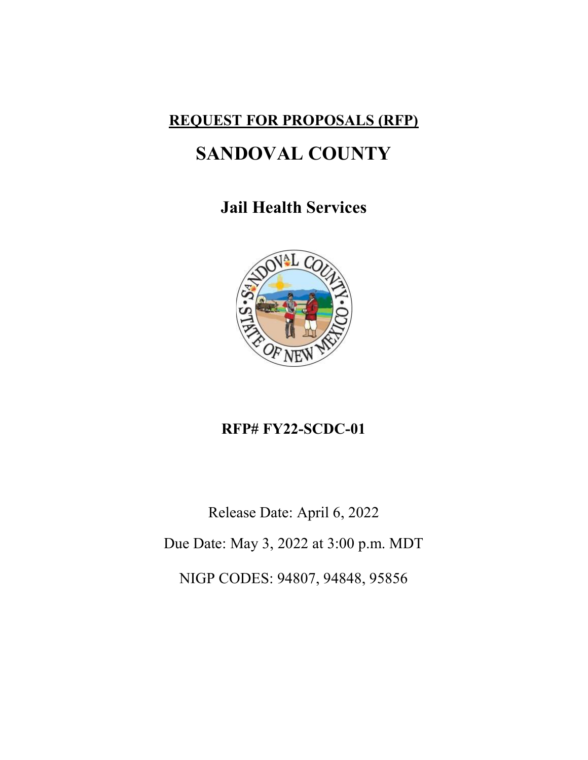# REQUEST FOR PROPOSALS (RFP)

# SANDOVAL COUNTY

# Jail Health Services



# RFP# FY22-SCDC-01

Release Date: April 6, 2022 Due Date: May 3, 2022 at 3:00 p.m. MDT NIGP CODES: 94807, 94848, 95856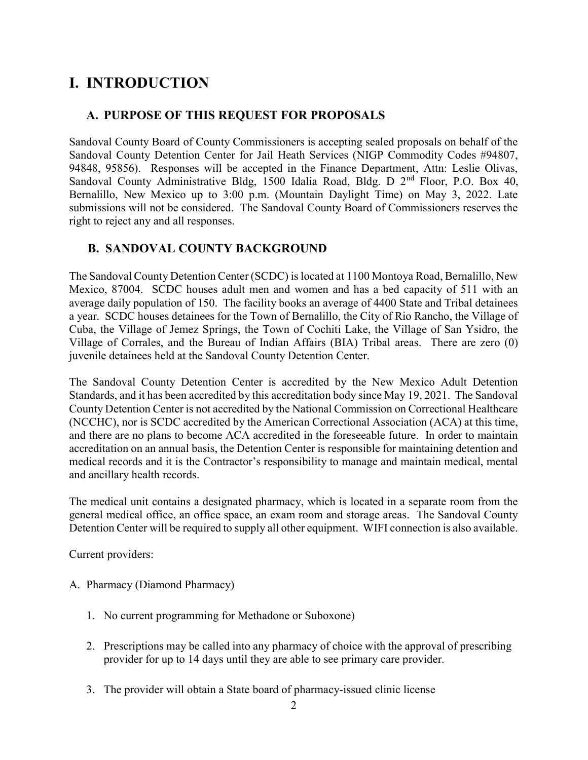# I. INTRODUCTION

### A. PURPOSE OF THIS REQUEST FOR PROPOSALS

Sandoval County Board of County Commissioners is accepting sealed proposals on behalf of the Sandoval County Detention Center for Jail Heath Services (NIGP Commodity Codes #94807, 94848, 95856). Responses will be accepted in the Finance Department, Attn: Leslie Olivas, Sandoval County Administrative Bldg, 1500 Idalia Road, Bldg. D 2<sup>nd</sup> Floor, P.O. Box 40, Bernalillo, New Mexico up to 3:00 p.m. (Mountain Daylight Time) on May 3, 2022. Late submissions will not be considered. The Sandoval County Board of Commissioners reserves the right to reject any and all responses.

### B. SANDOVAL COUNTY BACKGROUND

The Sandoval County Detention Center (SCDC) is located at 1100 Montoya Road, Bernalillo, New Mexico, 87004. SCDC houses adult men and women and has a bed capacity of 511 with an average daily population of 150. The facility books an average of 4400 State and Tribal detainees a year. SCDC houses detainees for the Town of Bernalillo, the City of Rio Rancho, the Village of Cuba, the Village of Jemez Springs, the Town of Cochiti Lake, the Village of San Ysidro, the Village of Corrales, and the Bureau of Indian Affairs (BIA) Tribal areas. There are zero (0) juvenile detainees held at the Sandoval County Detention Center.

The Sandoval County Detention Center is accredited by the New Mexico Adult Detention Standards, and it has been accredited by this accreditation body since May 19, 2021. The Sandoval County Detention Center is not accredited by the National Commission on Correctional Healthcare (NCCHC), nor is SCDC accredited by the American Correctional Association (ACA) at this time, and there are no plans to become ACA accredited in the foreseeable future. In order to maintain accreditation on an annual basis, the Detention Center is responsible for maintaining detention and medical records and it is the Contractor's responsibility to manage and maintain medical, mental and ancillary health records.

The medical unit contains a designated pharmacy, which is located in a separate room from the general medical office, an office space, an exam room and storage areas. The Sandoval County Detention Center will be required to supply all other equipment. WIFI connection is also available.

Current providers:

- A. Pharmacy (Diamond Pharmacy)
	- 1. No current programming for Methadone or Suboxone)
	- 2. Prescriptions may be called into any pharmacy of choice with the approval of prescribing provider for up to 14 days until they are able to see primary care provider.
	- 3. The provider will obtain a State board of pharmacy-issued clinic license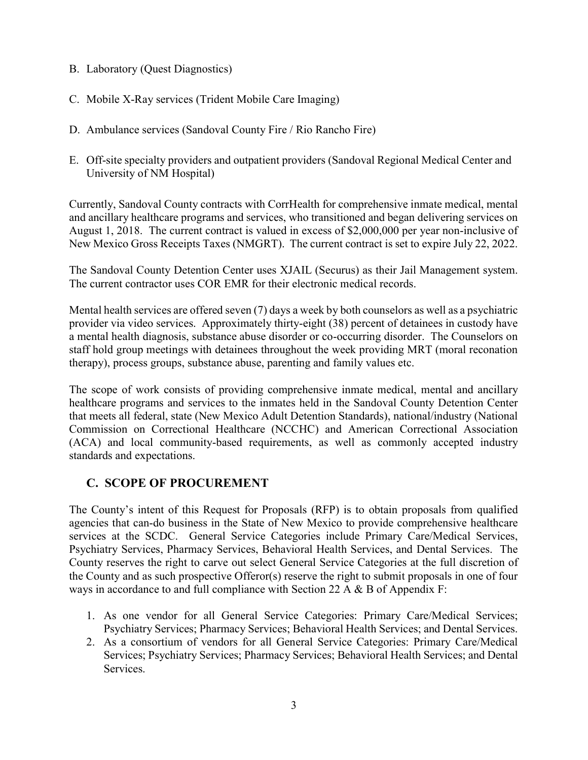- B. Laboratory (Quest Diagnostics)
- C. Mobile X-Ray services (Trident Mobile Care Imaging)
- D. Ambulance services (Sandoval County Fire / Rio Rancho Fire)
- E. Off-site specialty providers and outpatient providers (Sandoval Regional Medical Center and University of NM Hospital)

Currently, Sandoval County contracts with CorrHealth for comprehensive inmate medical, mental and ancillary healthcare programs and services, who transitioned and began delivering services on August 1, 2018. The current contract is valued in excess of \$2,000,000 per year non-inclusive of New Mexico Gross Receipts Taxes (NMGRT). The current contract is set to expire July 22, 2022.

The Sandoval County Detention Center uses XJAIL (Securus) as their Jail Management system. The current contractor uses COR EMR for their electronic medical records.

Mental health services are offered seven (7) days a week by both counselors as well as a psychiatric provider via video services. Approximately thirty-eight (38) percent of detainees in custody have a mental health diagnosis, substance abuse disorder or co-occurring disorder. The Counselors on staff hold group meetings with detainees throughout the week providing MRT (moral reconation therapy), process groups, substance abuse, parenting and family values etc.

The scope of work consists of providing comprehensive inmate medical, mental and ancillary healthcare programs and services to the inmates held in the Sandoval County Detention Center that meets all federal, state (New Mexico Adult Detention Standards), national/industry (National Commission on Correctional Healthcare (NCCHC) and American Correctional Association (ACA) and local community-based requirements, as well as commonly accepted industry standards and expectations.

### C. SCOPE OF PROCUREMENT

The County's intent of this Request for Proposals (RFP) is to obtain proposals from qualified agencies that can-do business in the State of New Mexico to provide comprehensive healthcare services at the SCDC. General Service Categories include Primary Care/Medical Services, Psychiatry Services, Pharmacy Services, Behavioral Health Services, and Dental Services. The County reserves the right to carve out select General Service Categories at the full discretion of the County and as such prospective Offeror(s) reserve the right to submit proposals in one of four ways in accordance to and full compliance with Section 22 A & B of Appendix F:

- 1. As one vendor for all General Service Categories: Primary Care/Medical Services; Psychiatry Services; Pharmacy Services; Behavioral Health Services; and Dental Services.
- 2. As a consortium of vendors for all General Service Categories: Primary Care/Medical Services; Psychiatry Services; Pharmacy Services; Behavioral Health Services; and Dental Services.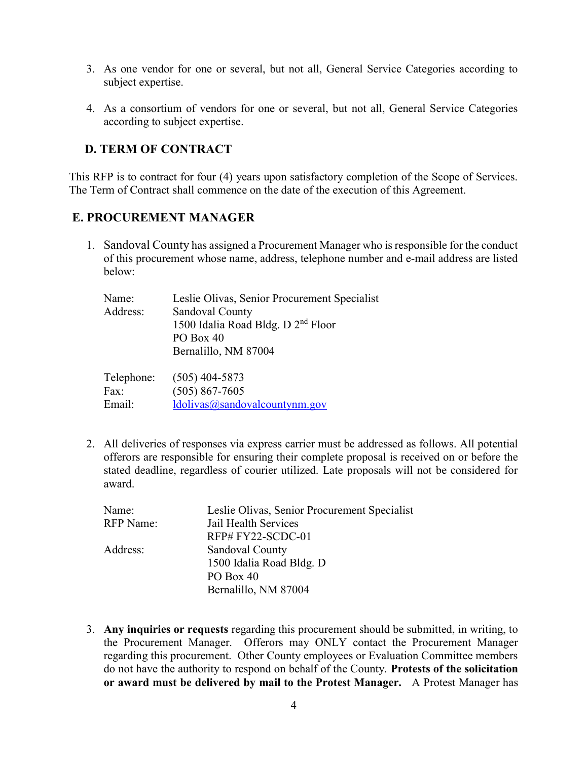- 3. As one vendor for one or several, but not all, General Service Categories according to subject expertise.
- 4. As a consortium of vendors for one or several, but not all, General Service Categories according to subject expertise.

### D. TERM OF CONTRACT

This RFP is to contract for four (4) years upon satisfactory completion of the Scope of Services. The Term of Contract shall commence on the date of the execution of this Agreement.

### E. PROCUREMENT MANAGER

1. Sandoval County has assigned a Procurement Manager who is responsible for the conduct of this procurement whose name, address, telephone number and e-mail address are listed below:

| Name:      | Leslie Olivas, Senior Procurement Specialist   |
|------------|------------------------------------------------|
| Address:   | Sandoval County                                |
|            | 1500 Idalia Road Bldg. D 2 <sup>nd</sup> Floor |
|            | PO Box 40                                      |
|            | Bernalillo, NM 87004                           |
|            |                                                |
| Telephone: | $(505)$ 404-5873                               |
| Fax:       | $(505) 867 - 7605$                             |

Email: ldolivas@sandovalcountynm.gov

2. All deliveries of responses via express carrier must be addressed as follows. All potential offerors are responsible for ensuring their complete proposal is received on or before the stated deadline, regardless of courier utilized. Late proposals will not be considered for award.

| Name:            | Leslie Olivas, Senior Procurement Specialist |
|------------------|----------------------------------------------|
| <b>RFP</b> Name: | Jail Health Services                         |
|                  | RFP#FY22-SCDC-01                             |
| Address:         | Sandoval County                              |
|                  | 1500 Idalia Road Bldg. D                     |
|                  | PO Box 40                                    |
|                  | Bernalillo, NM 87004                         |

3. Any inquiries or requests regarding this procurement should be submitted, in writing, to the Procurement Manager. Offerors may ONLY contact the Procurement Manager regarding this procurement. Other County employees or Evaluation Committee members do not have the authority to respond on behalf of the County. Protests of the solicitation or award must be delivered by mail to the Protest Manager. A Protest Manager has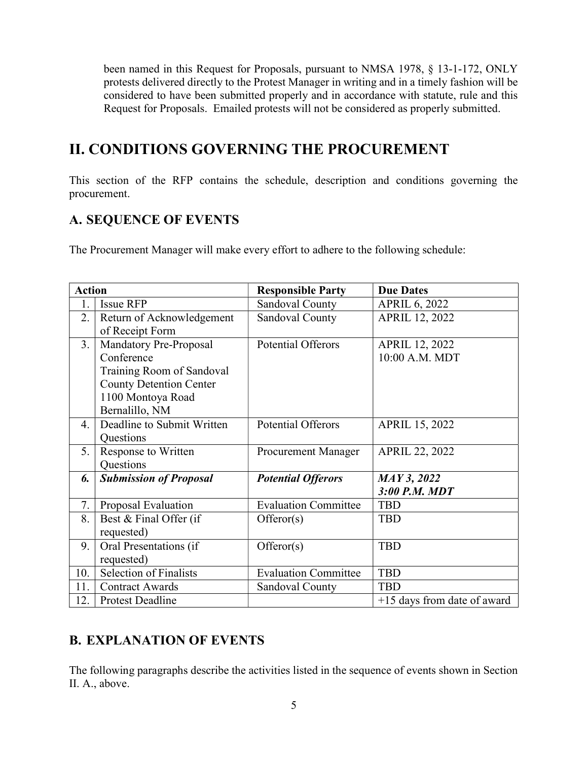been named in this Request for Proposals, pursuant to NMSA 1978, § 13-1-172, ONLY protests delivered directly to the Protest Manager in writing and in a timely fashion will be considered to have been submitted properly and in accordance with statute, rule and this Request for Proposals. Emailed protests will not be considered as properly submitted.

# II. CONDITIONS GOVERNING THE PROCUREMENT

This section of the RFP contains the schedule, description and conditions governing the procurement.

### A. SEQUENCE OF EVENTS

The Procurement Manager will make every effort to adhere to the following schedule:

| <b>Action</b> |                                | <b>Responsible Party</b>    | <b>Due Dates</b>              |
|---------------|--------------------------------|-----------------------------|-------------------------------|
| 1.            | <b>Issue RFP</b>               | Sandoval County             | <b>APRIL 6, 2022</b>          |
| 2.            | Return of Acknowledgement      | Sandoval County             | <b>APRIL 12, 2022</b>         |
|               | of Receipt Form                |                             |                               |
| 3.            | Mandatory Pre-Proposal         | <b>Potential Offerors</b>   | <b>APRIL 12, 2022</b>         |
|               | Conference                     |                             | 10:00 A.M. MDT                |
|               | Training Room of Sandoval      |                             |                               |
|               | <b>County Detention Center</b> |                             |                               |
|               | 1100 Montoya Road              |                             |                               |
|               | Bernalillo, NM                 |                             |                               |
| 4.            | Deadline to Submit Written     | <b>Potential Offerors</b>   | <b>APRIL 15, 2022</b>         |
|               | Questions                      |                             |                               |
| 5.            | Response to Written            | Procurement Manager         | <b>APRIL 22, 2022</b>         |
|               | Questions                      |                             |                               |
| 6.            | <b>Submission of Proposal</b>  | <b>Potential Offerors</b>   | <b>MAY 3, 2022</b>            |
|               |                                |                             | 3:00 P.M. MDT                 |
| 7.            | Proposal Evaluation            | <b>Evaluation Committee</b> | <b>TBD</b>                    |
| 8.            | Best & Final Offer (if         | Offeror(s)                  | <b>TBD</b>                    |
|               | requested)                     |                             |                               |
| 9.            | Oral Presentations (if         | Offeror(s)                  | <b>TBD</b>                    |
|               | requested)                     |                             |                               |
| 10.           | <b>Selection of Finalists</b>  | <b>Evaluation Committee</b> | <b>TBD</b>                    |
| 11.           | <b>Contract Awards</b>         | Sandoval County             | <b>TBD</b>                    |
| 12.           | Protest Deadline               |                             | $+15$ days from date of award |

## B. EXPLANATION OF EVENTS

The following paragraphs describe the activities listed in the sequence of events shown in Section II. A., above.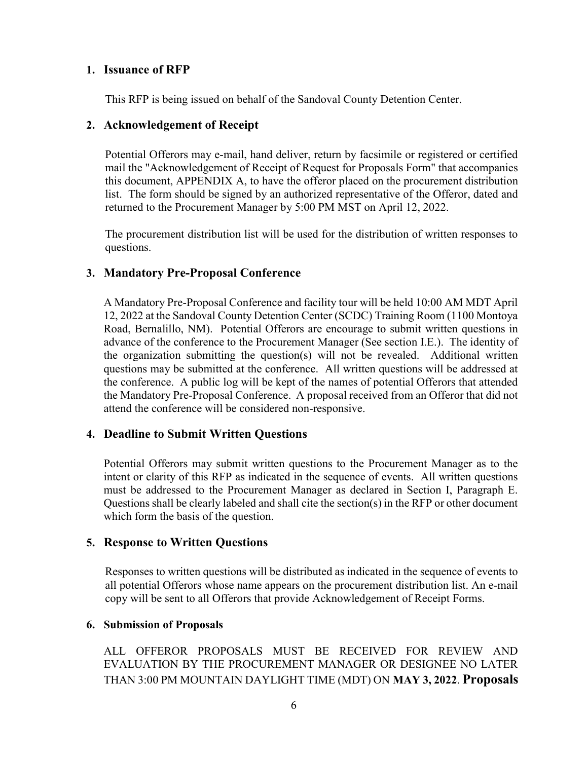### 1. Issuance of RFP

This RFP is being issued on behalf of the Sandoval County Detention Center.

### 2. Acknowledgement of Receipt

Potential Offerors may e-mail, hand deliver, return by facsimile or registered or certified mail the "Acknowledgement of Receipt of Request for Proposals Form" that accompanies this document, APPENDIX A, to have the offeror placed on the procurement distribution list. The form should be signed by an authorized representative of the Offeror, dated and returned to the Procurement Manager by 5:00 PM MST on April 12, 2022.

The procurement distribution list will be used for the distribution of written responses to questions.

### 3. Mandatory Pre-Proposal Conference

A Mandatory Pre-Proposal Conference and facility tour will be held 10:00 AM MDT April 12, 2022 at the Sandoval County Detention Center (SCDC) Training Room (1100 Montoya Road, Bernalillo, NM). Potential Offerors are encourage to submit written questions in advance of the conference to the Procurement Manager (See section I.E.). The identity of the organization submitting the question(s) will not be revealed. Additional written questions may be submitted at the conference. All written questions will be addressed at the conference. A public log will be kept of the names of potential Offerors that attended the Mandatory Pre-Proposal Conference. A proposal received from an Offeror that did not attend the conference will be considered non-responsive.

### 4. Deadline to Submit Written Questions

Potential Offerors may submit written questions to the Procurement Manager as to the intent or clarity of this RFP as indicated in the sequence of events. All written questions must be addressed to the Procurement Manager as declared in Section I, Paragraph E. Questions shall be clearly labeled and shall cite the section(s) in the RFP or other document which form the basis of the question.

### 5. Response to Written Questions

Responses to written questions will be distributed as indicated in the sequence of events to all potential Offerors whose name appears on the procurement distribution list. An e-mail copy will be sent to all Offerors that provide Acknowledgement of Receipt Forms.

#### 6. Submission of Proposals

ALL OFFEROR PROPOSALS MUST BE RECEIVED FOR REVIEW AND EVALUATION BY THE PROCUREMENT MANAGER OR DESIGNEE NO LATER THAN 3:00 PM MOUNTAIN DAYLIGHT TIME (MDT) ON MAY 3, 2022. Proposals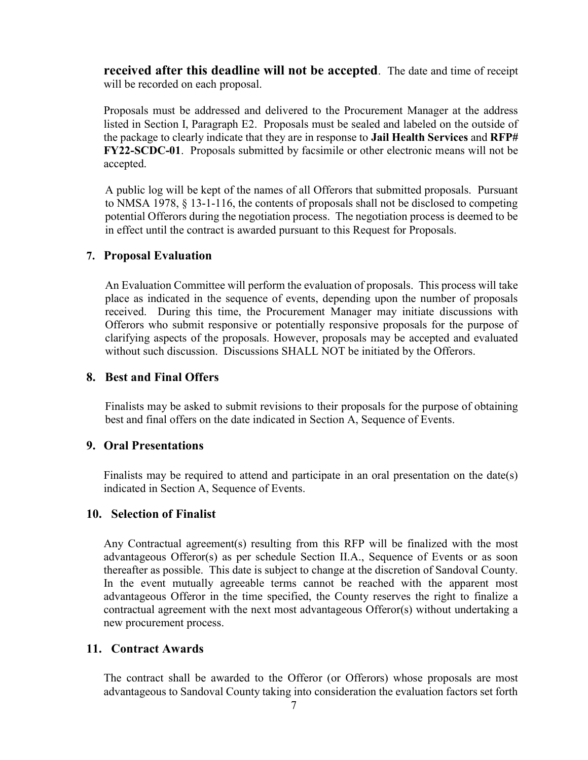received after this deadline will not be accepted. The date and time of receipt will be recorded on each proposal.

Proposals must be addressed and delivered to the Procurement Manager at the address listed in Section I, Paragraph E2. Proposals must be sealed and labeled on the outside of the package to clearly indicate that they are in response to Jail Health Services and RFP# FY22-SCDC-01. Proposals submitted by facsimile or other electronic means will not be accepted.

A public log will be kept of the names of all Offerors that submitted proposals. Pursuant to NMSA 1978, § 13-1-116, the contents of proposals shall not be disclosed to competing potential Offerors during the negotiation process. The negotiation process is deemed to be in effect until the contract is awarded pursuant to this Request for Proposals.

### 7. Proposal Evaluation

An Evaluation Committee will perform the evaluation of proposals. This process will take place as indicated in the sequence of events, depending upon the number of proposals received. During this time, the Procurement Manager may initiate discussions with Offerors who submit responsive or potentially responsive proposals for the purpose of clarifying aspects of the proposals. However, proposals may be accepted and evaluated without such discussion. Discussions SHALL NOT be initiated by the Offerors.

### 8. Best and Final Offers

Finalists may be asked to submit revisions to their proposals for the purpose of obtaining best and final offers on the date indicated in Section A, Sequence of Events.

#### 9. Oral Presentations

Finalists may be required to attend and participate in an oral presentation on the date(s) indicated in Section A, Sequence of Events.

### 10. Selection of Finalist

Any Contractual agreement(s) resulting from this RFP will be finalized with the most advantageous Offeror(s) as per schedule Section II.A., Sequence of Events or as soon thereafter as possible. This date is subject to change at the discretion of Sandoval County. In the event mutually agreeable terms cannot be reached with the apparent most advantageous Offeror in the time specified, the County reserves the right to finalize a contractual agreement with the next most advantageous Offeror(s) without undertaking a new procurement process.

#### 11. Contract Awards

The contract shall be awarded to the Offeror (or Offerors) whose proposals are most advantageous to Sandoval County taking into consideration the evaluation factors set forth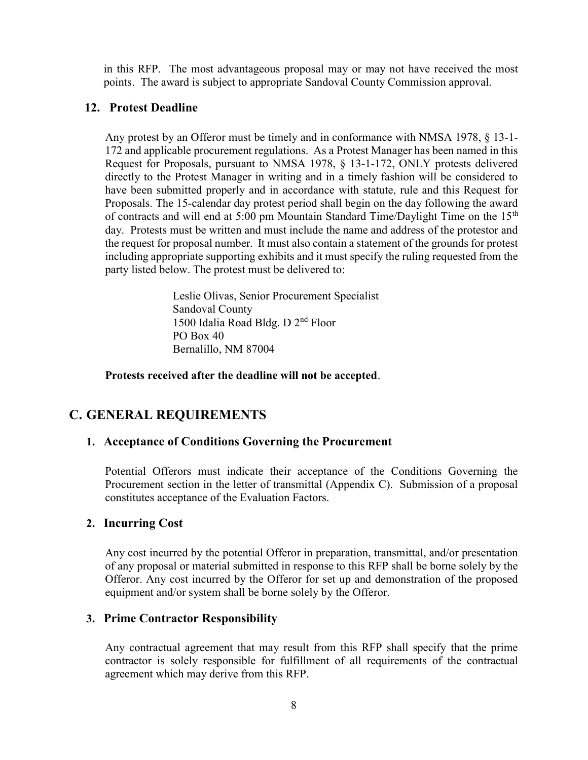in this RFP. The most advantageous proposal may or may not have received the most points. The award is subject to appropriate Sandoval County Commission approval.

### 12. Protest Deadline

Any protest by an Offeror must be timely and in conformance with NMSA 1978, § 13-1- 172 and applicable procurement regulations. As a Protest Manager has been named in this Request for Proposals, pursuant to NMSA 1978, § 13-1-172, ONLY protests delivered directly to the Protest Manager in writing and in a timely fashion will be considered to have been submitted properly and in accordance with statute, rule and this Request for Proposals. The 15-calendar day protest period shall begin on the day following the award of contracts and will end at 5:00 pm Mountain Standard Time/Daylight Time on the  $15<sup>th</sup>$ day. Protests must be written and must include the name and address of the protestor and the request for proposal number. It must also contain a statement of the grounds for protest including appropriate supporting exhibits and it must specify the ruling requested from the party listed below. The protest must be delivered to:

> Leslie Olivas, Senior Procurement Specialist Sandoval County 1500 Idalia Road Bldg. D 2nd Floor PO Box 40 Bernalillo, NM 87004

Protests received after the deadline will not be accepted.

### C. GENERAL REQUIREMENTS

#### 1. Acceptance of Conditions Governing the Procurement

Potential Offerors must indicate their acceptance of the Conditions Governing the Procurement section in the letter of transmittal (Appendix C). Submission of a proposal constitutes acceptance of the Evaluation Factors.

#### 2. Incurring Cost

Any cost incurred by the potential Offeror in preparation, transmittal, and/or presentation of any proposal or material submitted in response to this RFP shall be borne solely by the Offeror. Any cost incurred by the Offeror for set up and demonstration of the proposed equipment and/or system shall be borne solely by the Offeror.

### 3. Prime Contractor Responsibility

Any contractual agreement that may result from this RFP shall specify that the prime contractor is solely responsible for fulfillment of all requirements of the contractual agreement which may derive from this RFP.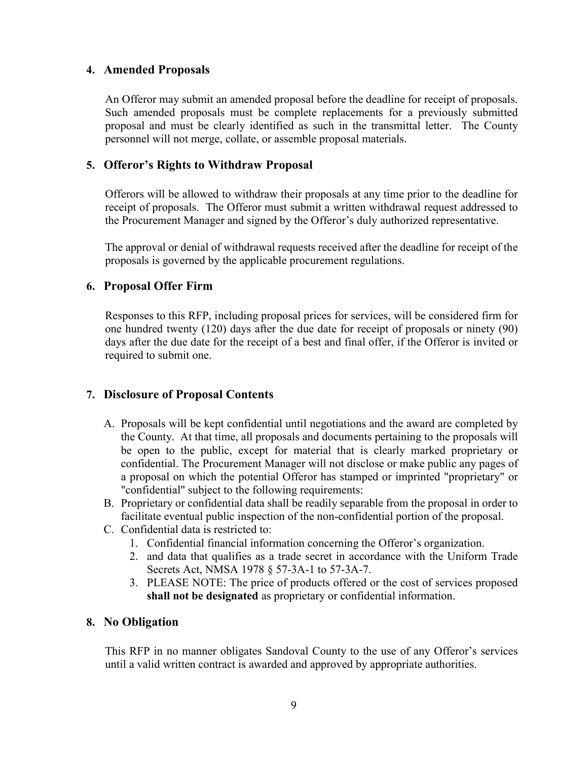### 4. Amended Proposals

An Offeror may submit an amended proposal before the deadline for receipt of proposals. Such amended proposals must be complete replacements for a previously submitted proposal and must be clearly identified as such in the transmittal letter. The County personnel will not merge, collate, or assemble proposal materials.

### 5. Offeror's Rights to Withdraw Proposal

Offerors will be allowed to withdraw their proposals at any time prior to the deadline for receipt of proposals. The Offeror must submit a written withdrawal request addressed to the Procurement Manager and signed by the Offeror's duly authorized representative.

The approval or denial of withdrawal requests received after the deadline for receipt of the proposals is governed by the applicable procurement regulations.

### 6. Proposal Offer Firm

Responses to this RFP, including proposal prices for services, will be considered firm for one hundred twenty (120) days after the due date for receipt of proposals or ninety (90) days after the due date for the receipt of a best and final offer, if the Offeror is invited or required to submit one.

### 7. Disclosure of Proposal Contents

- A. Proposals will be kept confidential until negotiations and the award are completed by the County. At that time, all proposals and documents pertaining to the proposals will be open to the public, except for material that is clearly marked proprietary or confidential. The Procurement Manager will not disclose or make public any pages of a proposal on which the potential Offeror has stamped or imprinted "proprietary" or "confidential" subject to the following requirements:
- B. Proprietary or confidential data shall be readily separable from the proposal in order to facilitate eventual public inspection of the non-confidential portion of the proposal.
- C. Confidential data is restricted to:
	- 1. Confidential financial information concerning the Offeror's organization.
	- 2. and data that qualifies as a trade secret in accordance with the Uniform Trade Secrets Act, NMSA 1978 § 57-3A-1 to 57-3A-7.
	- 3. PLEASE NOTE: The price of products offered or the cost of services proposed shall not be designated as proprietary or confidential information.

#### 8. No Obligation

This RFP in no manner obligates Sandoval County to the use of any Offeror's services until a valid written contract is awarded and approved by appropriate authorities.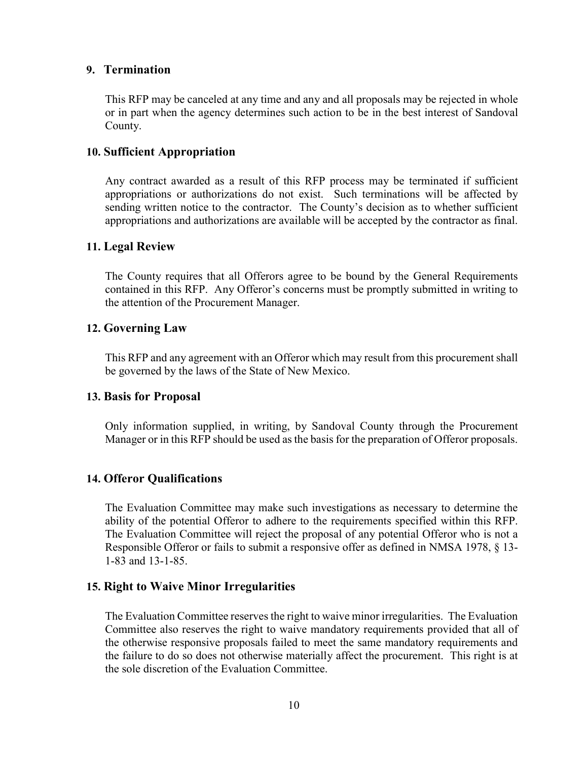#### 9. Termination

This RFP may be canceled at any time and any and all proposals may be rejected in whole or in part when the agency determines such action to be in the best interest of Sandoval County.

### 10. Sufficient Appropriation

Any contract awarded as a result of this RFP process may be terminated if sufficient appropriations or authorizations do not exist. Such terminations will be affected by sending written notice to the contractor. The County's decision as to whether sufficient appropriations and authorizations are available will be accepted by the contractor as final.

### 11. Legal Review

The County requires that all Offerors agree to be bound by the General Requirements contained in this RFP. Any Offeror's concerns must be promptly submitted in writing to the attention of the Procurement Manager.

### 12. Governing Law

This RFP and any agreement with an Offeror which may result from this procurement shall be governed by the laws of the State of New Mexico.

#### 13. Basis for Proposal

Only information supplied, in writing, by Sandoval County through the Procurement Manager or in this RFP should be used as the basis for the preparation of Offeror proposals.

### 14. Offeror Qualifications

The Evaluation Committee may make such investigations as necessary to determine the ability of the potential Offeror to adhere to the requirements specified within this RFP. The Evaluation Committee will reject the proposal of any potential Offeror who is not a Responsible Offeror or fails to submit a responsive offer as defined in NMSA 1978, § 13- 1-83 and 13-1-85.

### 15. Right to Waive Minor Irregularities

The Evaluation Committee reserves the right to waive minor irregularities. The Evaluation Committee also reserves the right to waive mandatory requirements provided that all of the otherwise responsive proposals failed to meet the same mandatory requirements and the failure to do so does not otherwise materially affect the procurement. This right is at the sole discretion of the Evaluation Committee.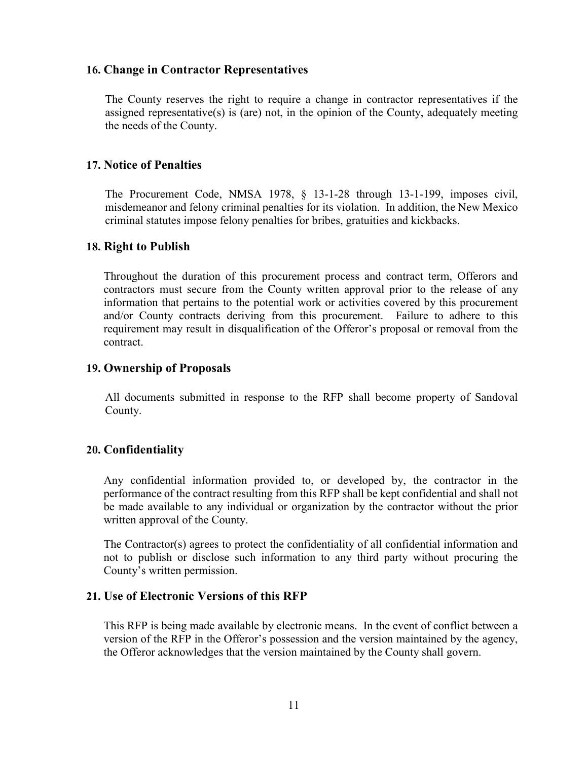### 16. Change in Contractor Representatives

The County reserves the right to require a change in contractor representatives if the assigned representative(s) is (are) not, in the opinion of the County, adequately meeting the needs of the County.

### 17. Notice of Penalties

The Procurement Code, NMSA 1978, § 13-1-28 through 13-1-199, imposes civil, misdemeanor and felony criminal penalties for its violation. In addition, the New Mexico criminal statutes impose felony penalties for bribes, gratuities and kickbacks.

### 18. Right to Publish

Throughout the duration of this procurement process and contract term, Offerors and contractors must secure from the County written approval prior to the release of any information that pertains to the potential work or activities covered by this procurement and/or County contracts deriving from this procurement. Failure to adhere to this requirement may result in disqualification of the Offeror's proposal or removal from the contract.

### 19. Ownership of Proposals

All documents submitted in response to the RFP shall become property of Sandoval County.

### 20. Confidentiality

Any confidential information provided to, or developed by, the contractor in the performance of the contract resulting from this RFP shall be kept confidential and shall not be made available to any individual or organization by the contractor without the prior written approval of the County.

The Contractor(s) agrees to protect the confidentiality of all confidential information and not to publish or disclose such information to any third party without procuring the County's written permission.

### 21. Use of Electronic Versions of this RFP

This RFP is being made available by electronic means. In the event of conflict between a version of the RFP in the Offeror's possession and the version maintained by the agency, the Offeror acknowledges that the version maintained by the County shall govern.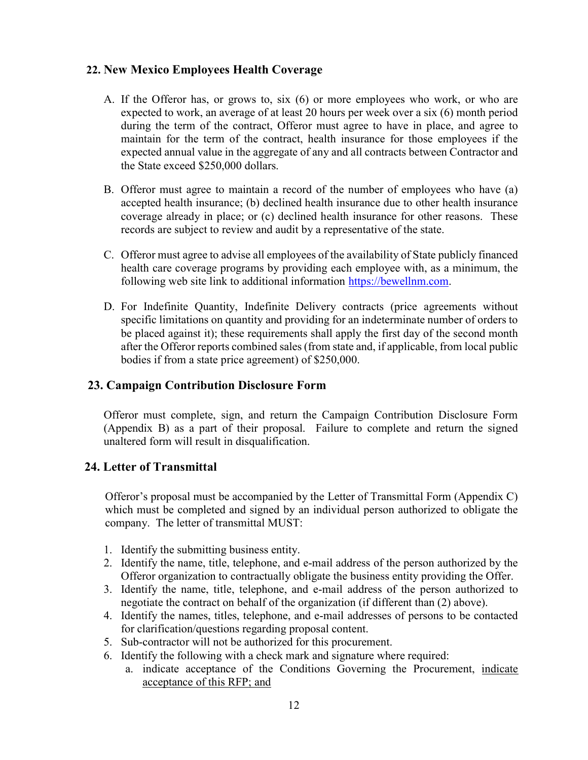### 22. New Mexico Employees Health Coverage

- A. If the Offeror has, or grows to, six (6) or more employees who work, or who are expected to work, an average of at least 20 hours per week over a six (6) month period during the term of the contract, Offeror must agree to have in place, and agree to maintain for the term of the contract, health insurance for those employees if the expected annual value in the aggregate of any and all contracts between Contractor and the State exceed \$250,000 dollars.
- B. Offeror must agree to maintain a record of the number of employees who have (a) accepted health insurance; (b) declined health insurance due to other health insurance coverage already in place; or (c) declined health insurance for other reasons. These records are subject to review and audit by a representative of the state.
- C. Offeror must agree to advise all employees of the availability of State publicly financed health care coverage programs by providing each employee with, as a minimum, the following web site link to additional information https://bewellnm.com.
- D. For Indefinite Quantity, Indefinite Delivery contracts (price agreements without specific limitations on quantity and providing for an indeterminate number of orders to be placed against it); these requirements shall apply the first day of the second month after the Offeror reports combined sales (from state and, if applicable, from local public bodies if from a state price agreement) of \$250,000.

### 23. Campaign Contribution Disclosure Form

Offeror must complete, sign, and return the Campaign Contribution Disclosure Form (Appendix B) as a part of their proposal. Failure to complete and return the signed unaltered form will result in disqualification.

### 24. Letter of Transmittal

Offeror's proposal must be accompanied by the Letter of Transmittal Form (Appendix C) which must be completed and signed by an individual person authorized to obligate the company. The letter of transmittal MUST:

- 1. Identify the submitting business entity.
- 2. Identify the name, title, telephone, and e-mail address of the person authorized by the Offeror organization to contractually obligate the business entity providing the Offer.
- 3. Identify the name, title, telephone, and e-mail address of the person authorized to negotiate the contract on behalf of the organization (if different than (2) above).
- 4. Identify the names, titles, telephone, and e-mail addresses of persons to be contacted for clarification/questions regarding proposal content.
- 5. Sub-contractor will not be authorized for this procurement.
- 6. Identify the following with a check mark and signature where required:
	- a. indicate acceptance of the Conditions Governing the Procurement, indicate acceptance of this RFP; and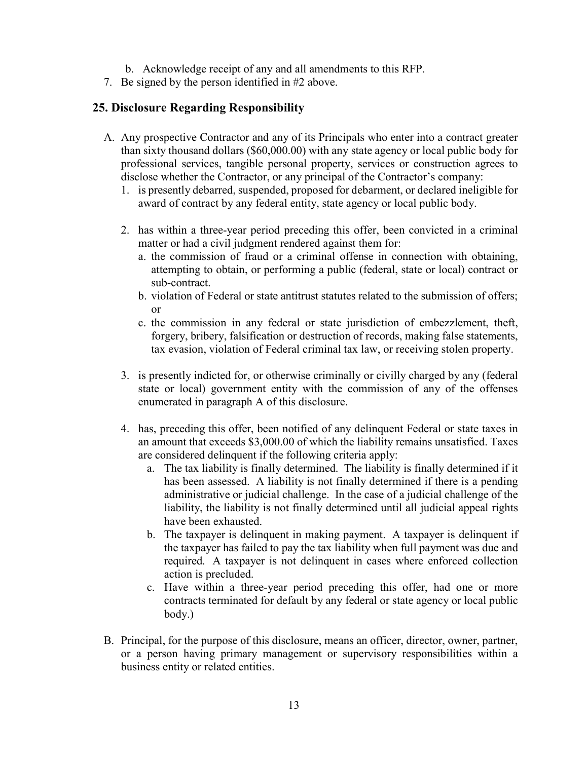- b. Acknowledge receipt of any and all amendments to this RFP.
- 7. Be signed by the person identified in #2 above.

### 25. Disclosure Regarding Responsibility

- A. Any prospective Contractor and any of its Principals who enter into a contract greater than sixty thousand dollars (\$60,000.00) with any state agency or local public body for professional services, tangible personal property, services or construction agrees to disclose whether the Contractor, or any principal of the Contractor's company:
	- 1. is presently debarred, suspended, proposed for debarment, or declared ineligible for award of contract by any federal entity, state agency or local public body.
	- 2. has within a three-year period preceding this offer, been convicted in a criminal matter or had a civil judgment rendered against them for:
		- a. the commission of fraud or a criminal offense in connection with obtaining, attempting to obtain, or performing a public (federal, state or local) contract or sub-contract.
		- b. violation of Federal or state antitrust statutes related to the submission of offers; or
		- c. the commission in any federal or state jurisdiction of embezzlement, theft, forgery, bribery, falsification or destruction of records, making false statements, tax evasion, violation of Federal criminal tax law, or receiving stolen property.
	- 3. is presently indicted for, or otherwise criminally or civilly charged by any (federal state or local) government entity with the commission of any of the offenses enumerated in paragraph A of this disclosure.
	- 4. has, preceding this offer, been notified of any delinquent Federal or state taxes in an amount that exceeds \$3,000.00 of which the liability remains unsatisfied. Taxes are considered delinquent if the following criteria apply:
		- a. The tax liability is finally determined. The liability is finally determined if it has been assessed. A liability is not finally determined if there is a pending administrative or judicial challenge. In the case of a judicial challenge of the liability, the liability is not finally determined until all judicial appeal rights have been exhausted.
		- b. The taxpayer is delinquent in making payment. A taxpayer is delinquent if the taxpayer has failed to pay the tax liability when full payment was due and required. A taxpayer is not delinquent in cases where enforced collection action is precluded.
		- c. Have within a three-year period preceding this offer, had one or more contracts terminated for default by any federal or state agency or local public body.)
- B. Principal, for the purpose of this disclosure, means an officer, director, owner, partner, or a person having primary management or supervisory responsibilities within a business entity or related entities.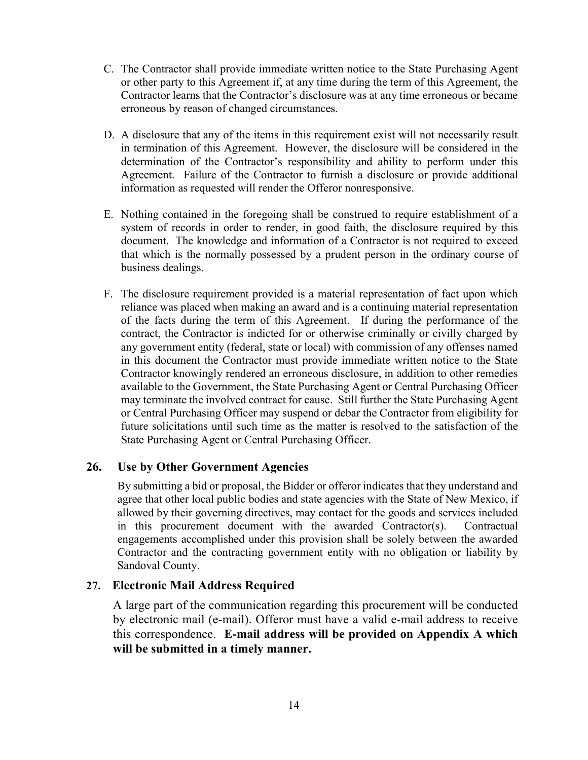- C. The Contractor shall provide immediate written notice to the State Purchasing Agent or other party to this Agreement if, at any time during the term of this Agreement, the Contractor learns that the Contractor's disclosure was at any time erroneous or became erroneous by reason of changed circumstances.
- D. A disclosure that any of the items in this requirement exist will not necessarily result in termination of this Agreement. However, the disclosure will be considered in the determination of the Contractor's responsibility and ability to perform under this Agreement. Failure of the Contractor to furnish a disclosure or provide additional information as requested will render the Offeror nonresponsive.
- E. Nothing contained in the foregoing shall be construed to require establishment of a system of records in order to render, in good faith, the disclosure required by this document. The knowledge and information of a Contractor is not required to exceed that which is the normally possessed by a prudent person in the ordinary course of business dealings.
- F. The disclosure requirement provided is a material representation of fact upon which reliance was placed when making an award and is a continuing material representation of the facts during the term of this Agreement. If during the performance of the contract, the Contractor is indicted for or otherwise criminally or civilly charged by any government entity (federal, state or local) with commission of any offenses named in this document the Contractor must provide immediate written notice to the State Contractor knowingly rendered an erroneous disclosure, in addition to other remedies available to the Government, the State Purchasing Agent or Central Purchasing Officer may terminate the involved contract for cause. Still further the State Purchasing Agent or Central Purchasing Officer may suspend or debar the Contractor from eligibility for future solicitations until such time as the matter is resolved to the satisfaction of the State Purchasing Agent or Central Purchasing Officer.

### 26. Use by Other Government Agencies

By submitting a bid or proposal, the Bidder or offeror indicates that they understand and agree that other local public bodies and state agencies with the State of New Mexico, if allowed by their governing directives, may contact for the goods and services included in this procurement document with the awarded Contractor(s). Contractual engagements accomplished under this provision shall be solely between the awarded Contractor and the contracting government entity with no obligation or liability by Sandoval County.

### 27. Electronic Mail Address Required

A large part of the communication regarding this procurement will be conducted by electronic mail (e-mail). Offeror must have a valid e-mail address to receive this correspondence. E-mail address will be provided on Appendix A which will be submitted in a timely manner.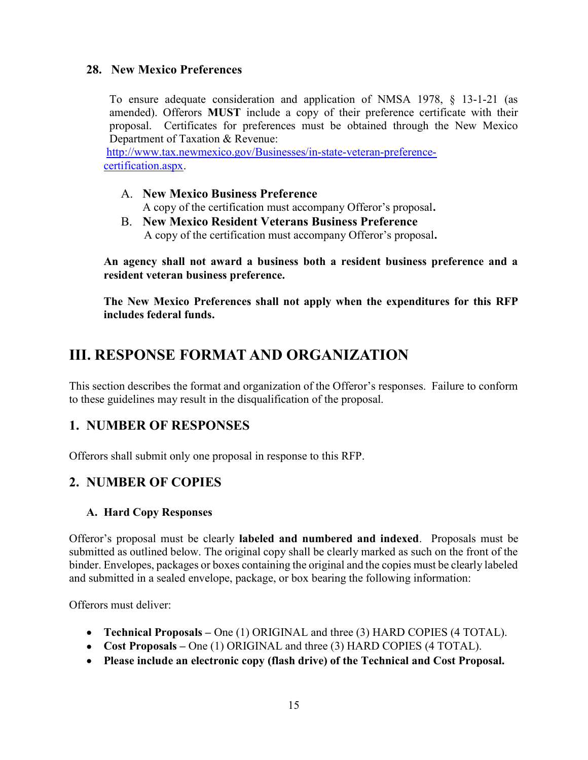### 28. New Mexico Preferences

To ensure adequate consideration and application of NMSA 1978, § 13-1-21 (as amended). Offerors MUST include a copy of their preference certificate with their proposal. Certificates for preferences must be obtained through the New Mexico Department of Taxation & Revenue:

http://www.tax.newmexico.gov/Businesses/in-state-veteran-preferencecertification.aspx.

- A. New Mexico Business Preference A copy of the certification must accompany Offeror's proposal.
- B. New Mexico Resident Veterans Business Preference A copy of the certification must accompany Offeror's proposal.

An agency shall not award a business both a resident business preference and a resident veteran business preference.

The New Mexico Preferences shall not apply when the expenditures for this RFP includes federal funds.

# III. RESPONSE FORMAT AND ORGANIZATION

This section describes the format and organization of the Offeror's responses. Failure to conform to these guidelines may result in the disqualification of the proposal.

### 1. NUMBER OF RESPONSES

Offerors shall submit only one proposal in response to this RFP.

### 2. NUMBER OF COPIES

### A. Hard Copy Responses

Offeror's proposal must be clearly labeled and numbered and indexed. Proposals must be submitted as outlined below. The original copy shall be clearly marked as such on the front of the binder. Envelopes, packages or boxes containing the original and the copies must be clearly labeled and submitted in a sealed envelope, package, or box bearing the following information:

Offerors must deliver:

- Technical Proposals One (1) ORIGINAL and three (3) HARD COPIES (4 TOTAL).
- Cost Proposals One (1) ORIGINAL and three (3) HARD COPIES (4 TOTAL).
- Please include an electronic copy (flash drive) of the Technical and Cost Proposal.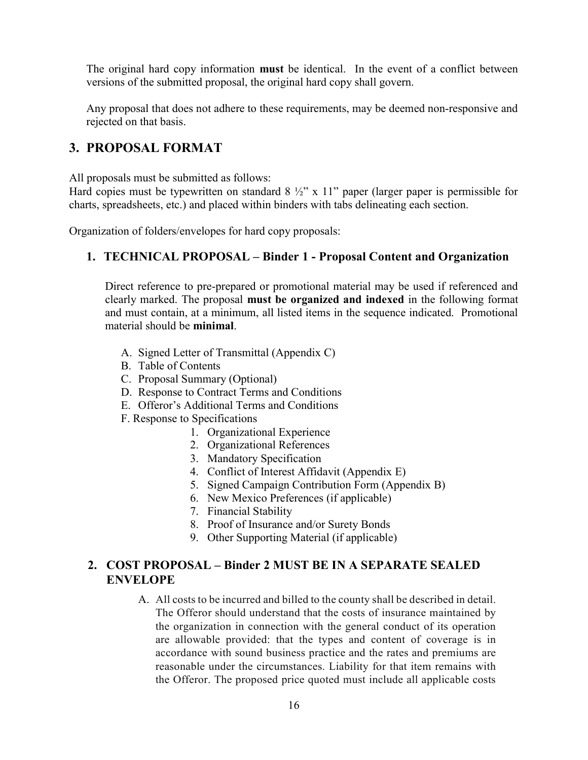The original hard copy information **must** be identical. In the event of a conflict between versions of the submitted proposal, the original hard copy shall govern.

Any proposal that does not adhere to these requirements, may be deemed non-responsive and rejected on that basis.

### 3. PROPOSAL FORMAT

All proposals must be submitted as follows:

Hard copies must be typewritten on standard  $8\frac{1}{2}$ " x 11" paper (larger paper is permissible for charts, spreadsheets, etc.) and placed within binders with tabs delineating each section.

Organization of folders/envelopes for hard copy proposals:

### 1. TECHNICAL PROPOSAL – Binder 1 - Proposal Content and Organization

Direct reference to pre-prepared or promotional material may be used if referenced and clearly marked. The proposal must be organized and indexed in the following format and must contain, at a minimum, all listed items in the sequence indicated. Promotional material should be minimal.

- A. Signed Letter of Transmittal (Appendix C)
- B. Table of Contents
- C. Proposal Summary (Optional)
- D. Response to Contract Terms and Conditions
- E. Offeror's Additional Terms and Conditions
- F. Response to Specifications
	- 1. Organizational Experience
	- 2. Organizational References
	- 3. Mandatory Specification
	- 4. Conflict of Interest Affidavit (Appendix E)
	- 5. Signed Campaign Contribution Form (Appendix B)
	- 6. New Mexico Preferences (if applicable)
	- 7. Financial Stability
	- 8. Proof of Insurance and/or Surety Bonds
	- 9. Other Supporting Material (if applicable)

### 2. COST PROPOSAL – Binder 2 MUST BE IN A SEPARATE SEALED ENVELOPE

A. All costs to be incurred and billed to the county shall be described in detail. The Offeror should understand that the costs of insurance maintained by the organization in connection with the general conduct of its operation are allowable provided: that the types and content of coverage is in accordance with sound business practice and the rates and premiums are reasonable under the circumstances. Liability for that item remains with the Offeror. The proposed price quoted must include all applicable costs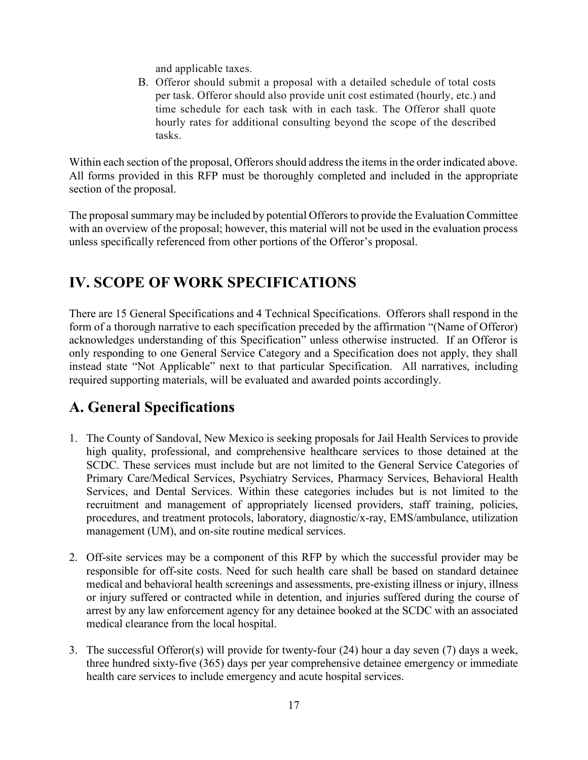and applicable taxes.

B. Offeror should submit a proposal with a detailed schedule of total costs per task. Offeror should also provide unit cost estimated (hourly, etc.) and time schedule for each task with in each task. The Offeror shall quote hourly rates for additional consulting beyond the scope of the described tasks.

Within each section of the proposal, Offerors should address the items in the order indicated above. All forms provided in this RFP must be thoroughly completed and included in the appropriate section of the proposal.

The proposal summary may be included by potential Offerors to provide the Evaluation Committee with an overview of the proposal; however, this material will not be used in the evaluation process unless specifically referenced from other portions of the Offeror's proposal.

# IV. SCOPE OF WORK SPECIFICATIONS

There are 15 General Specifications and 4 Technical Specifications. Offerors shall respond in the form of a thorough narrative to each specification preceded by the affirmation "(Name of Offeror) acknowledges understanding of this Specification" unless otherwise instructed. If an Offeror is only responding to one General Service Category and a Specification does not apply, they shall instead state "Not Applicable" next to that particular Specification. All narratives, including required supporting materials, will be evaluated and awarded points accordingly.

# A. General Specifications

- 1. The County of Sandoval, New Mexico is seeking proposals for Jail Health Services to provide high quality, professional, and comprehensive healthcare services to those detained at the SCDC. These services must include but are not limited to the General Service Categories of Primary Care/Medical Services, Psychiatry Services, Pharmacy Services, Behavioral Health Services, and Dental Services. Within these categories includes but is not limited to the recruitment and management of appropriately licensed providers, staff training, policies, procedures, and treatment protocols, laboratory, diagnostic/x-ray, EMS/ambulance, utilization management (UM), and on-site routine medical services.
- 2. Off-site services may be a component of this RFP by which the successful provider may be responsible for off-site costs. Need for such health care shall be based on standard detainee medical and behavioral health screenings and assessments, pre-existing illness or injury, illness or injury suffered or contracted while in detention, and injuries suffered during the course of arrest by any law enforcement agency for any detainee booked at the SCDC with an associated medical clearance from the local hospital.
- 3. The successful Offeror(s) will provide for twenty-four (24) hour a day seven (7) days a week, three hundred sixty-five (365) days per year comprehensive detainee emergency or immediate health care services to include emergency and acute hospital services.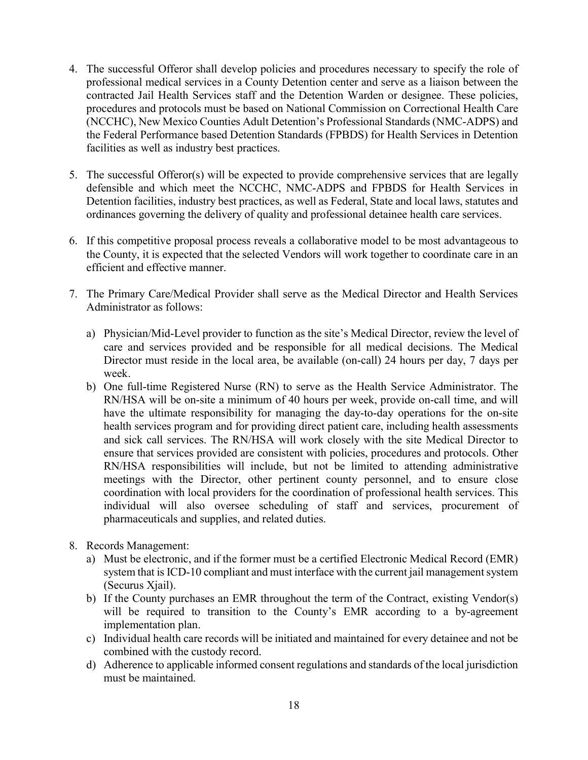- 4. The successful Offeror shall develop policies and procedures necessary to specify the role of professional medical services in a County Detention center and serve as a liaison between the contracted Jail Health Services staff and the Detention Warden or designee. These policies, procedures and protocols must be based on National Commission on Correctional Health Care (NCCHC), New Mexico Counties Adult Detention's Professional Standards (NMC-ADPS) and the Federal Performance based Detention Standards (FPBDS) for Health Services in Detention facilities as well as industry best practices.
- 5. The successful Offeror(s) will be expected to provide comprehensive services that are legally defensible and which meet the NCCHC, NMC-ADPS and FPBDS for Health Services in Detention facilities, industry best practices, as well as Federal, State and local laws, statutes and ordinances governing the delivery of quality and professional detainee health care services.
- 6. If this competitive proposal process reveals a collaborative model to be most advantageous to the County, it is expected that the selected Vendors will work together to coordinate care in an efficient and effective manner.
- 7. The Primary Care/Medical Provider shall serve as the Medical Director and Health Services Administrator as follows:
	- a) Physician/Mid-Level provider to function as the site's Medical Director, review the level of care and services provided and be responsible for all medical decisions. The Medical Director must reside in the local area, be available (on-call) 24 hours per day, 7 days per week.
	- b) One full-time Registered Nurse (RN) to serve as the Health Service Administrator. The RN/HSA will be on-site a minimum of 40 hours per week, provide on-call time, and will have the ultimate responsibility for managing the day-to-day operations for the on-site health services program and for providing direct patient care, including health assessments and sick call services. The RN/HSA will work closely with the site Medical Director to ensure that services provided are consistent with policies, procedures and protocols. Other RN/HSA responsibilities will include, but not be limited to attending administrative meetings with the Director, other pertinent county personnel, and to ensure close coordination with local providers for the coordination of professional health services. This individual will also oversee scheduling of staff and services, procurement of pharmaceuticals and supplies, and related duties.
- 8. Records Management:
	- a) Must be electronic, and if the former must be a certified Electronic Medical Record (EMR) system that is ICD-10 compliant and must interface with the current jail management system (Securus Xjail).
	- b) If the County purchases an EMR throughout the term of the Contract, existing Vendor(s) will be required to transition to the County's EMR according to a by-agreement implementation plan.
	- c) Individual health care records will be initiated and maintained for every detainee and not be combined with the custody record.
	- d) Adherence to applicable informed consent regulations and standards of the local jurisdiction must be maintained.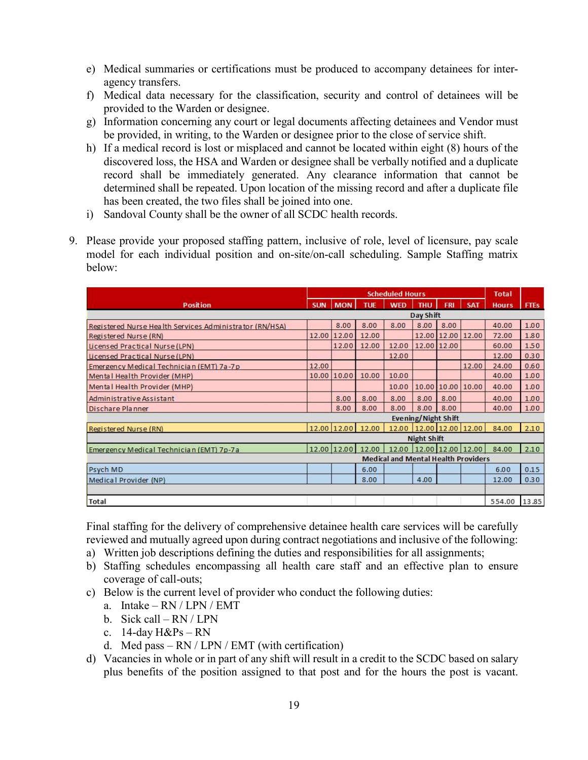- e) Medical summaries or certifications must be produced to accompany detainees for interagency transfers.
- f) Medical data necessary for the classification, security and control of detainees will be provided to the Warden or designee.
- g) Information concerning any court or legal documents affecting detainees and Vendor must be provided, in writing, to the Warden or designee prior to the close of service shift.
- h) If a medical record is lost or misplaced and cannot be located within eight (8) hours of the discovered loss, the HSA and Warden or designee shall be verbally notified and a duplicate record shall be immediately generated. Any clearance information that cannot be determined shall be repeated. Upon location of the missing record and after a duplicate file has been created, the two files shall be joined into one.
- i) Sandoval County shall be the owner of all SCDC health records.
- 9. Please provide your proposed staffing pattern, inclusive of role, level of licensure, pay scale model for each individual position and on-site/on-call scheduling. Sample Staffing matrix below:

|                                                         |            |             |                   | <b>Scheduled Hours</b>                     |                    |                            |                         | <b>Total</b> |             |
|---------------------------------------------------------|------------|-------------|-------------------|--------------------------------------------|--------------------|----------------------------|-------------------------|--------------|-------------|
| <b>Position</b>                                         | <b>SUN</b> | <b>MON</b>  | <b>TUE</b>        | <b>WED</b>                                 | <b>THU</b>         | <b>FRI</b>                 | <b>SAT</b>              | <b>Hours</b> | <b>FTEs</b> |
|                                                         |            |             |                   |                                            | Day Shift          |                            |                         |              |             |
| Registered Nurse Health Services Administrator (RN/HSA) |            | 8.00        | 8.00              | 8.00                                       | 8.00               | 8.00                       |                         | 40.00        | 1.00        |
| Registered Nurse (RN)                                   | 12.00      | 12.00       | 12.00             |                                            |                    | 12.00 12.00                | 12.00                   | 72.00        | 1.80        |
| Licensed Practical Nurse (LPN)                          |            | 12.00       | 12.00             | 12.00                                      |                    | 12.00 12.00                |                         | 60.00        | 1.50        |
| Licensed Practical Nurse (LPN)                          |            |             |                   | 12.00                                      |                    |                            |                         | 12.00        | 0.30        |
| Emergency Medical Technician (EMT) 7a-7p                | 12.00      |             |                   |                                            |                    |                            | 12.00                   | 24.00        | 0.60        |
| Mental Health Provider (MHP)                            | 10.00      | 10.00       | 10.00             | 10.00                                      |                    |                            |                         | 40.00        | 1.00        |
| Mental Health Provider (MHP)                            |            |             |                   | 10.00                                      |                    | 10.00 10.00                | 10.00                   | 40.00        | 1.00        |
| Administrative Assistant                                |            | 8.00        | 8.00              | 8.00                                       | 8.00               | 8.00                       |                         | 40.00        | 1.00        |
| Dischare Planner                                        |            | 8.00        | 8.00              | 8.00                                       | 8.00               | 8.00                       |                         | 40.00        | 1.00        |
|                                                         |            |             |                   |                                            |                    | <b>Evening/Night Shift</b> |                         |              |             |
| Registered Nurse (RN)                                   |            |             | 12.00 12.00 12.00 |                                            |                    | 12.00 12.00 12.00 12.00    |                         | 84.00        | 2.10        |
|                                                         |            |             |                   |                                            | <b>Night Shift</b> |                            |                         |              |             |
| Emergency Medical Technician (EMT) 7p-7a                |            | 12.00 12.00 | 12.00             |                                            |                    |                            | 12.00 12.00 12.00 12.00 | 84.00        | 2.10        |
|                                                         |            |             |                   | <b>Medical and Mental Health Providers</b> |                    |                            |                         |              |             |
| Psych MD                                                |            |             | 6.00              |                                            |                    |                            |                         | 6.00         | 0.15        |
| Medical Provider (NP)                                   |            |             | 8.00              |                                            | 4.00               |                            |                         | 12.00        | 0.30        |
|                                                         |            |             |                   |                                            |                    |                            |                         |              |             |
| <b>Total</b>                                            |            |             |                   |                                            |                    |                            |                         | 554.00       | 13.85       |

Final staffing for the delivery of comprehensive detainee health care services will be carefully reviewed and mutually agreed upon during contract negotiations and inclusive of the following:

- a) Written job descriptions defining the duties and responsibilities for all assignments;
- b) Staffing schedules encompassing all health care staff and an effective plan to ensure coverage of call-outs;
- c) Below is the current level of provider who conduct the following duties:
	- a. Intake RN / LPN / EMT
	- b. Sick call RN / LPN
	- c. 14-day  $H\&Ps RN$
	- d. Med pass  $RN / LPN / EMT$  (with certification)
- d) Vacancies in whole or in part of any shift will result in a credit to the SCDC based on salary plus benefits of the position assigned to that post and for the hours the post is vacant.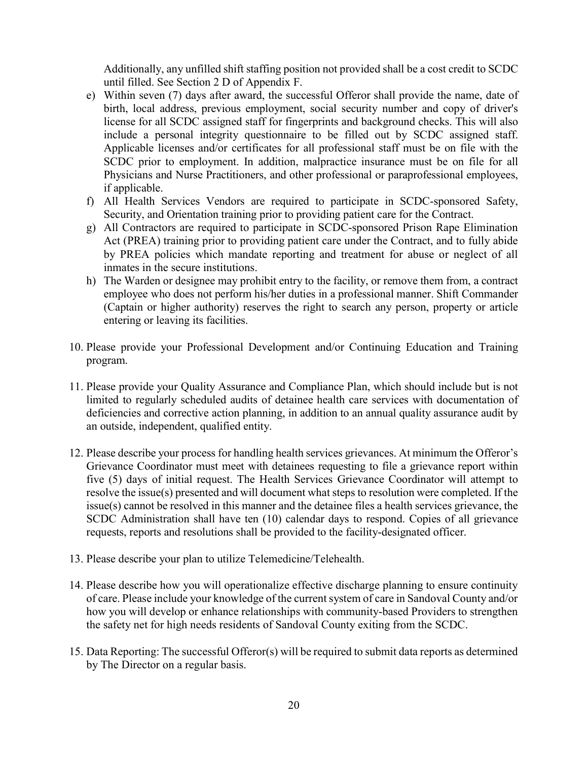Additionally, any unfilled shift staffing position not provided shall be a cost credit to SCDC until filled. See Section 2 D of Appendix F.

- e) Within seven (7) days after award, the successful Offeror shall provide the name, date of birth, local address, previous employment, social security number and copy of driver's license for all SCDC assigned staff for fingerprints and background checks. This will also include a personal integrity questionnaire to be filled out by SCDC assigned staff. Applicable licenses and/or certificates for all professional staff must be on file with the SCDC prior to employment. In addition, malpractice insurance must be on file for all Physicians and Nurse Practitioners, and other professional or paraprofessional employees, if applicable.
- f) All Health Services Vendors are required to participate in SCDC-sponsored Safety, Security, and Orientation training prior to providing patient care for the Contract.
- g) All Contractors are required to participate in SCDC-sponsored Prison Rape Elimination Act (PREA) training prior to providing patient care under the Contract, and to fully abide by PREA policies which mandate reporting and treatment for abuse or neglect of all inmates in the secure institutions.
- h) The Warden or designee may prohibit entry to the facility, or remove them from, a contract employee who does not perform his/her duties in a professional manner. Shift Commander (Captain or higher authority) reserves the right to search any person, property or article entering or leaving its facilities.
- 10. Please provide your Professional Development and/or Continuing Education and Training program.
- 11. Please provide your Quality Assurance and Compliance Plan, which should include but is not limited to regularly scheduled audits of detainee health care services with documentation of deficiencies and corrective action planning, in addition to an annual quality assurance audit by an outside, independent, qualified entity.
- 12. Please describe your process for handling health services grievances. At minimum the Offeror's Grievance Coordinator must meet with detainees requesting to file a grievance report within five (5) days of initial request. The Health Services Grievance Coordinator will attempt to resolve the issue(s) presented and will document what steps to resolution were completed. If the issue(s) cannot be resolved in this manner and the detainee files a health services grievance, the SCDC Administration shall have ten (10) calendar days to respond. Copies of all grievance requests, reports and resolutions shall be provided to the facility-designated officer.
- 13. Please describe your plan to utilize Telemedicine/Telehealth.
- 14. Please describe how you will operationalize effective discharge planning to ensure continuity of care. Please include your knowledge of the current system of care in Sandoval County and/or how you will develop or enhance relationships with community-based Providers to strengthen the safety net for high needs residents of Sandoval County exiting from the SCDC.
- 15. Data Reporting: The successful Offeror(s) will be required to submit data reports as determined by The Director on a regular basis.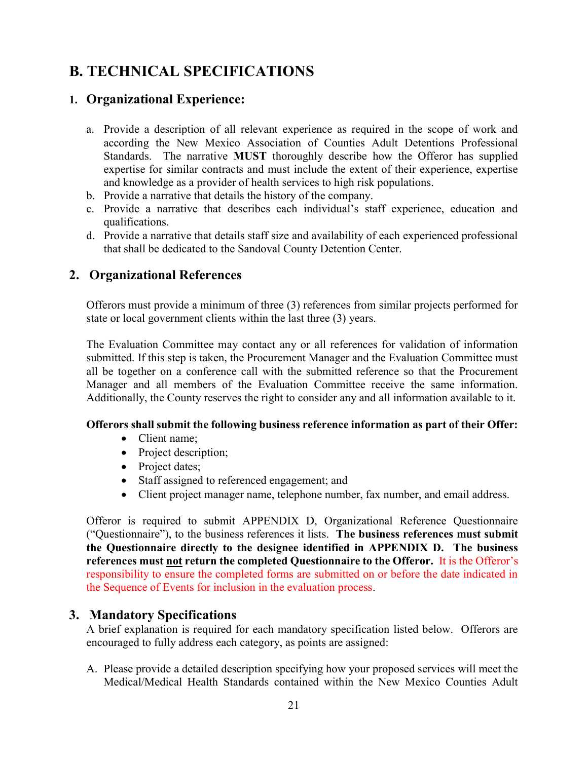# B. TECHNICAL SPECIFICATIONS

### 1. Organizational Experience:

- a. Provide a description of all relevant experience as required in the scope of work and according the New Mexico Association of Counties Adult Detentions Professional Standards. The narrative MUST thoroughly describe how the Offeror has supplied expertise for similar contracts and must include the extent of their experience, expertise and knowledge as a provider of health services to high risk populations.
- b. Provide a narrative that details the history of the company.
- c. Provide a narrative that describes each individual's staff experience, education and qualifications.
- d. Provide a narrative that details staff size and availability of each experienced professional that shall be dedicated to the Sandoval County Detention Center.

### 2. Organizational References

Offerors must provide a minimum of three (3) references from similar projects performed for state or local government clients within the last three (3) years.

The Evaluation Committee may contact any or all references for validation of information submitted. If this step is taken, the Procurement Manager and the Evaluation Committee must all be together on a conference call with the submitted reference so that the Procurement Manager and all members of the Evaluation Committee receive the same information. Additionally, the County reserves the right to consider any and all information available to it.

### Offerors shall submit the following business reference information as part of their Offer:

- Client name;
- Project description;
- Project dates;
- Staff assigned to referenced engagement; and
- Client project manager name, telephone number, fax number, and email address.

Offeror is required to submit APPENDIX D, Organizational Reference Questionnaire ("Questionnaire"), to the business references it lists. The business references must submit the Questionnaire directly to the designee identified in APPENDIX D. The business references must not return the completed Questionnaire to the Offeror. It is the Offeror's responsibility to ensure the completed forms are submitted on or before the date indicated in the Sequence of Events for inclusion in the evaluation process.

### 3. Mandatory Specifications

A brief explanation is required for each mandatory specification listed below. Offerors are encouraged to fully address each category, as points are assigned:

A. Please provide a detailed description specifying how your proposed services will meet the Medical/Medical Health Standards contained within the New Mexico Counties Adult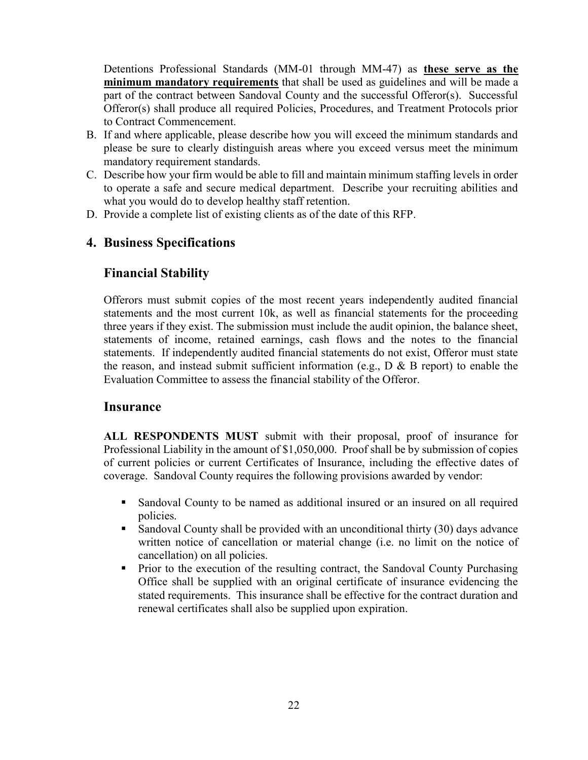Detentions Professional Standards (MM-01 through MM-47) as these serve as the minimum mandatory requirements that shall be used as guidelines and will be made a part of the contract between Sandoval County and the successful Offeror(s). Successful Offeror(s) shall produce all required Policies, Procedures, and Treatment Protocols prior to Contract Commencement.

- B. If and where applicable, please describe how you will exceed the minimum standards and please be sure to clearly distinguish areas where you exceed versus meet the minimum mandatory requirement standards.
- C. Describe how your firm would be able to fill and maintain minimum staffing levels in order to operate a safe and secure medical department. Describe your recruiting abilities and what you would do to develop healthy staff retention.
- D. Provide a complete list of existing clients as of the date of this RFP.

### 4. Business Specifications

## Financial Stability

Offerors must submit copies of the most recent years independently audited financial statements and the most current 10k, as well as financial statements for the proceeding three years if they exist. The submission must include the audit opinion, the balance sheet, statements of income, retained earnings, cash flows and the notes to the financial statements. If independently audited financial statements do not exist, Offeror must state the reason, and instead submit sufficient information (e.g.,  $D \& B$  report) to enable the Evaluation Committee to assess the financial stability of the Offeror.

### **Insurance**

ALL RESPONDENTS MUST submit with their proposal, proof of insurance for Professional Liability in the amount of \$1,050,000. Proof shall be by submission of copies of current policies or current Certificates of Insurance, including the effective dates of coverage. Sandoval County requires the following provisions awarded by vendor:

- Sandoval County to be named as additional insured or an insured on all required policies.
- Sandoval County shall be provided with an unconditional thirty (30) days advance written notice of cancellation or material change (i.e. no limit on the notice of cancellation) on all policies.
- Prior to the execution of the resulting contract, the Sandoval County Purchasing Office shall be supplied with an original certificate of insurance evidencing the stated requirements. This insurance shall be effective for the contract duration and renewal certificates shall also be supplied upon expiration.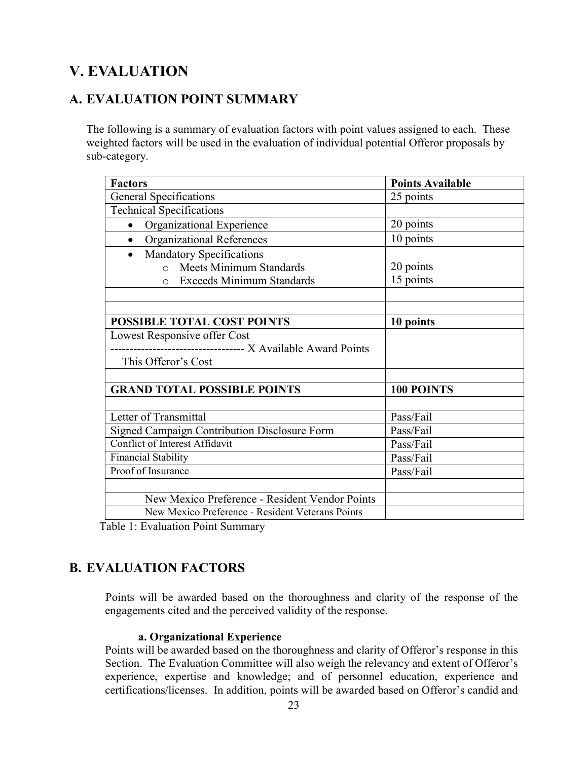# V. EVALUATION

## A. EVALUATION POINT SUMMARY

The following is a summary of evaluation factors with point values assigned to each. These weighted factors will be used in the evaluation of individual potential Offeror proposals by sub-category.

| <b>Factors</b>                                                | <b>Points Available</b> |
|---------------------------------------------------------------|-------------------------|
| <b>General Specifications</b>                                 | 25 points               |
| <b>Technical Specifications</b>                               |                         |
| Organizational Experience                                     | 20 points               |
| <b>Organizational References</b>                              | 10 points               |
| <b>Mandatory Specifications</b><br>$\bullet$                  |                         |
| o Meets Minimum Standards                                     | 20 points               |
| <b>Exceeds Minimum Standards</b><br>$\Omega$                  | 15 points               |
|                                                               |                         |
|                                                               |                         |
| POSSIBLE TOTAL COST POINTS                                    | 10 points               |
| Lowest Responsive offer Cost                                  |                         |
| ------------------------------------ X Available Award Points |                         |
| This Offeror's Cost                                           |                         |
|                                                               |                         |
| <b>GRAND TOTAL POSSIBLE POINTS</b>                            | 100 POINTS              |
|                                                               |                         |
| Letter of Transmittal                                         | Pass/Fail               |
| <b>Signed Campaign Contribution Disclosure Form</b>           | Pass/Fail               |
| Conflict of Interest Affidavit                                | Pass/Fail               |
| <b>Financial Stability</b>                                    | Pass/Fail               |
| Proof of Insurance                                            | Pass/Fail               |
|                                                               |                         |
| New Mexico Preference - Resident Vendor Points                |                         |
| New Mexico Preference - Resident Veterans Points              |                         |

Table 1: Evaluation Point Summary

### B. EVALUATION FACTORS

Points will be awarded based on the thoroughness and clarity of the response of the engagements cited and the perceived validity of the response.

### a. Organizational Experience

Points will be awarded based on the thoroughness and clarity of Offeror's response in this Section. The Evaluation Committee will also weigh the relevancy and extent of Offeror's experience, expertise and knowledge; and of personnel education, experience and certifications/licenses. In addition, points will be awarded based on Offeror's candid and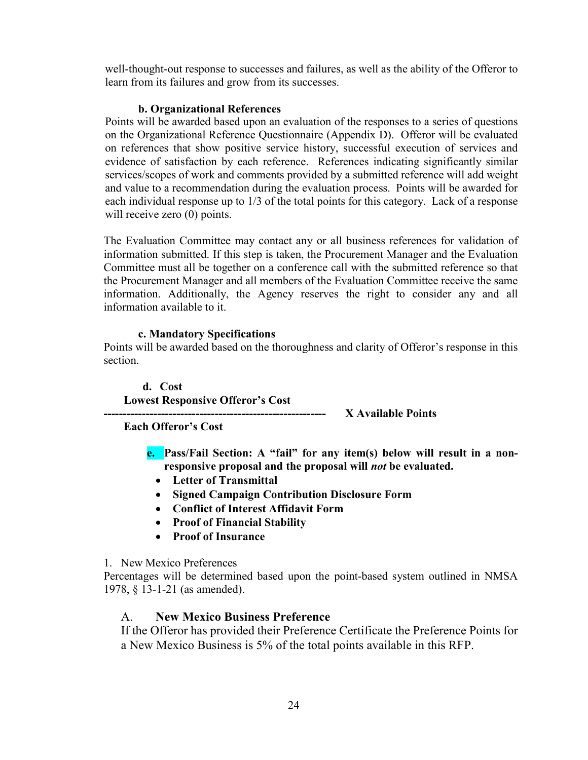well-thought-out response to successes and failures, as well as the ability of the Offeror to learn from its failures and grow from its successes.

### b. Organizational References

Points will be awarded based upon an evaluation of the responses to a series of questions on the Organizational Reference Questionnaire (Appendix D). Offeror will be evaluated on references that show positive service history, successful execution of services and evidence of satisfaction by each reference. References indicating significantly similar services/scopes of work and comments provided by a submitted reference will add weight and value to a recommendation during the evaluation process. Points will be awarded for each individual response up to 1/3 of the total points for this category. Lack of a response will receive zero (0) points.

The Evaluation Committee may contact any or all business references for validation of information submitted. If this step is taken, the Procurement Manager and the Evaluation Committee must all be together on a conference call with the submitted reference so that the Procurement Manager and all members of the Evaluation Committee receive the same information. Additionally, the Agency reserves the right to consider any and all information available to it.

### c. Mandatory Specifications

Points will be awarded based on the thoroughness and clarity of Offeror's response in this section.

d. Cost Lowest Responsive Offeror's Cost

---------------------------------------------------------- X Available Points

Each Offeror's Cost

e. Pass/Fail Section: A "fail" for any item(s) below will result in a nonresponsive proposal and the proposal will not be evaluated.

- Letter of Transmittal
- Signed Campaign Contribution Disclosure Form
- Conflict of Interest Affidavit Form
- Proof of Financial Stability
- Proof of Insurance

### 1. New Mexico Preferences

Percentages will be determined based upon the point-based system outlined in NMSA 1978, § 13-1-21 (as amended).

### A. New Mexico Business Preference

If the Offeror has provided their Preference Certificate the Preference Points for a New Mexico Business is 5% of the total points available in this RFP.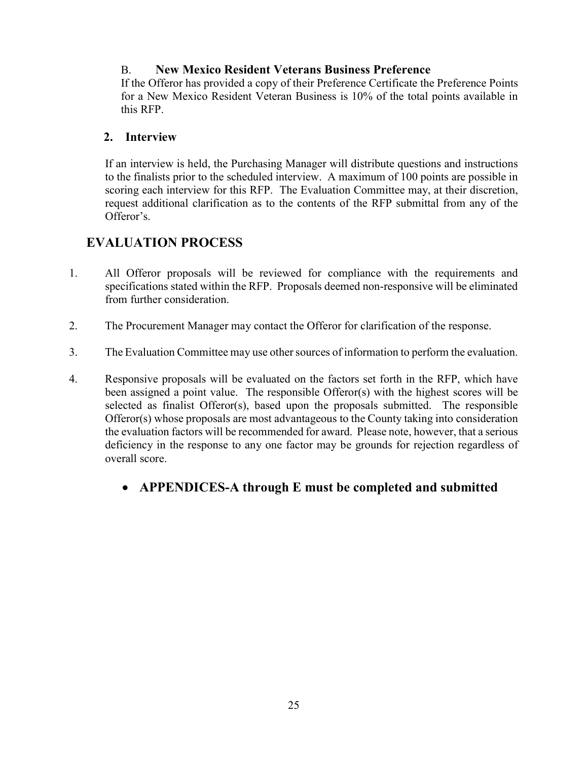### B. New Mexico Resident Veterans Business Preference

If the Offeror has provided a copy of their Preference Certificate the Preference Points for a New Mexico Resident Veteran Business is 10% of the total points available in this RFP.

### 2. Interview

If an interview is held, the Purchasing Manager will distribute questions and instructions to the finalists prior to the scheduled interview. A maximum of 100 points are possible in scoring each interview for this RFP. The Evaluation Committee may, at their discretion, request additional clarification as to the contents of the RFP submittal from any of the Offeror's.

### EVALUATION PROCESS

- 1. All Offeror proposals will be reviewed for compliance with the requirements and specifications stated within the RFP. Proposals deemed non-responsive will be eliminated from further consideration.
- 2. The Procurement Manager may contact the Offeror for clarification of the response.
- 3. The Evaluation Committee may use other sources of information to perform the evaluation.
- 4. Responsive proposals will be evaluated on the factors set forth in the RFP, which have been assigned a point value. The responsible Offeror(s) with the highest scores will be selected as finalist Offeror(s), based upon the proposals submitted. The responsible Offeror(s) whose proposals are most advantageous to the County taking into consideration the evaluation factors will be recommended for award. Please note, however, that a serious deficiency in the response to any one factor may be grounds for rejection regardless of overall score.
	- APPENDICES-A through E must be completed and submitted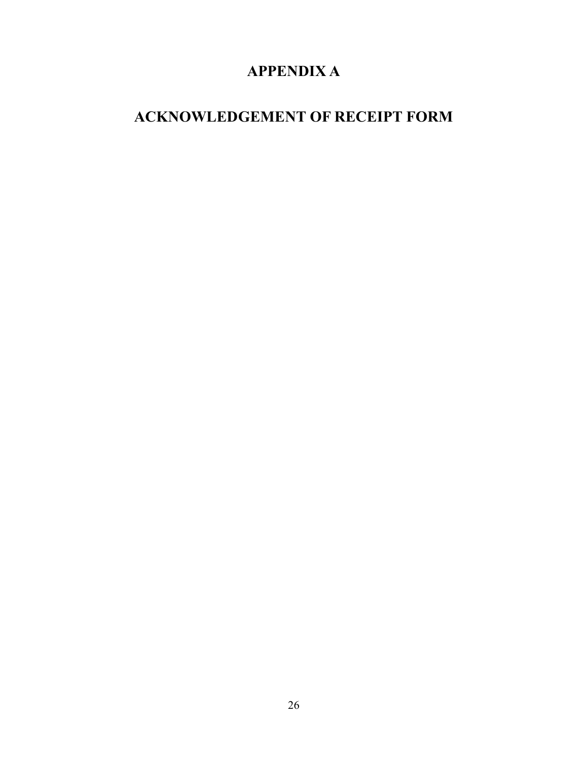# APPENDIX A

# ACKNOWLEDGEMENT OF RECEIPT FORM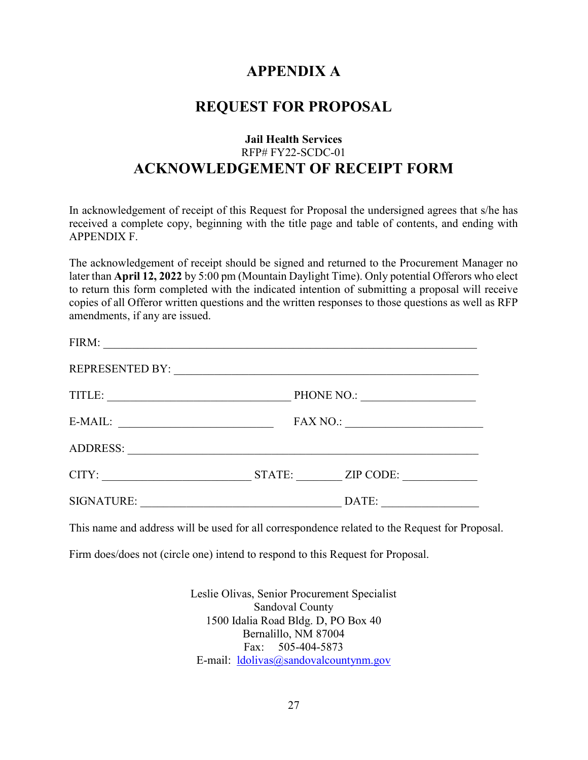# APPENDIX A

## REQUEST FOR PROPOSAL

### Jail Health Services RFP# FY22-SCDC-01 ACKNOWLEDGEMENT OF RECEIPT FORM

In acknowledgement of receipt of this Request for Proposal the undersigned agrees that s/he has received a complete copy, beginning with the title page and table of contents, and ending with APPENDIX F.

The acknowledgement of receipt should be signed and returned to the Procurement Manager no later than April 12, 2022 by 5:00 pm (Mountain Daylight Time). Only potential Offerors who elect to return this form completed with the indicated intention of submitting a proposal will receive copies of all Offeror written questions and the written responses to those questions as well as RFP amendments, if any are issued.

| FIRM:                  |                                                                       |  |
|------------------------|-----------------------------------------------------------------------|--|
| <b>REPRESENTED BY:</b> |                                                                       |  |
| TITLE:                 | PHONE NO.:                                                            |  |
| E-MAIL:                | <b>FAX NO.:</b><br><u> 1980 - John Stone, Amerikaansk politiker (</u> |  |
| <b>ADDRESS:</b>        |                                                                       |  |
| CITY:                  | STATE:<br>ZIP CODE:                                                   |  |
| <b>SIGNATURE:</b>      | DATE:                                                                 |  |

This name and address will be used for all correspondence related to the Request for Proposal.

Firm does/does not (circle one) intend to respond to this Request for Proposal.

Leslie Olivas, Senior Procurement Specialist Sandoval County 1500 Idalia Road Bldg. D, PO Box 40 Bernalillo, NM 87004 Fax: 505-404-5873 E-mail: ldolivas@sandovalcountynm.gov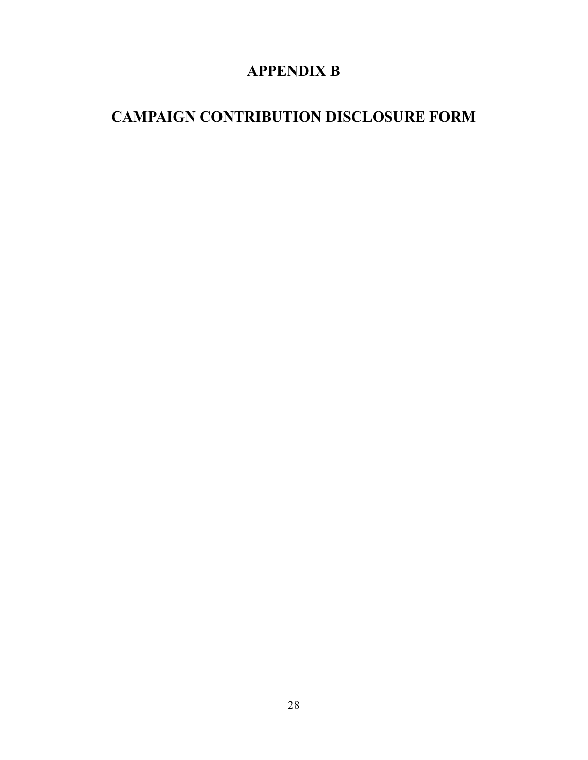# APPENDIX B

# CAMPAIGN CONTRIBUTION DISCLOSURE FORM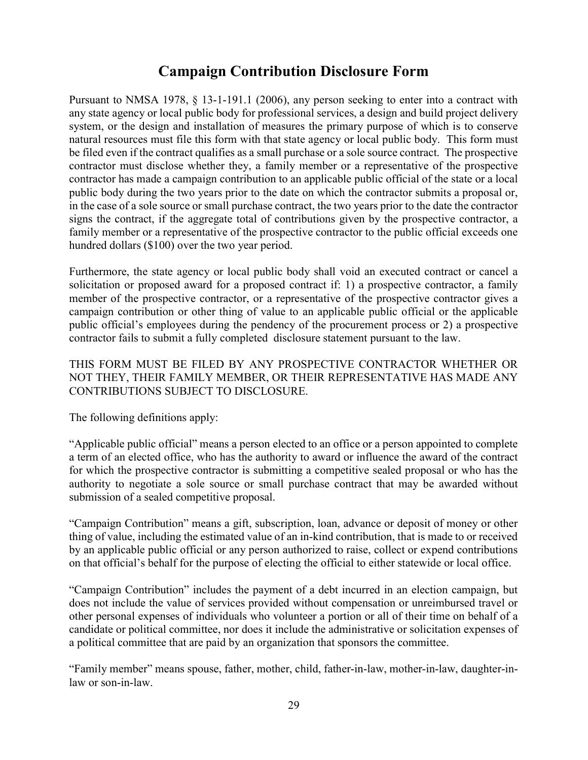# Campaign Contribution Disclosure Form

Pursuant to NMSA 1978, § 13-1-191.1 (2006), any person seeking to enter into a contract with any state agency or local public body for professional services, a design and build project delivery system, or the design and installation of measures the primary purpose of which is to conserve natural resources must file this form with that state agency or local public body. This form must be filed even if the contract qualifies as a small purchase or a sole source contract. The prospective contractor must disclose whether they, a family member or a representative of the prospective contractor has made a campaign contribution to an applicable public official of the state or a local public body during the two years prior to the date on which the contractor submits a proposal or, in the case of a sole source or small purchase contract, the two years prior to the date the contractor signs the contract, if the aggregate total of contributions given by the prospective contractor, a family member or a representative of the prospective contractor to the public official exceeds one hundred dollars (\$100) over the two year period.

Furthermore, the state agency or local public body shall void an executed contract or cancel a solicitation or proposed award for a proposed contract if: 1) a prospective contractor, a family member of the prospective contractor, or a representative of the prospective contractor gives a campaign contribution or other thing of value to an applicable public official or the applicable public official's employees during the pendency of the procurement process or 2) a prospective contractor fails to submit a fully completed disclosure statement pursuant to the law.

### THIS FORM MUST BE FILED BY ANY PROSPECTIVE CONTRACTOR WHETHER OR NOT THEY, THEIR FAMILY MEMBER, OR THEIR REPRESENTATIVE HAS MADE ANY CONTRIBUTIONS SUBJECT TO DISCLOSURE.

The following definitions apply:

"Applicable public official" means a person elected to an office or a person appointed to complete a term of an elected office, who has the authority to award or influence the award of the contract for which the prospective contractor is submitting a competitive sealed proposal or who has the authority to negotiate a sole source or small purchase contract that may be awarded without submission of a sealed competitive proposal.

"Campaign Contribution" means a gift, subscription, loan, advance or deposit of money or other thing of value, including the estimated value of an in-kind contribution, that is made to or received by an applicable public official or any person authorized to raise, collect or expend contributions on that official's behalf for the purpose of electing the official to either statewide or local office.

"Campaign Contribution" includes the payment of a debt incurred in an election campaign, but does not include the value of services provided without compensation or unreimbursed travel or other personal expenses of individuals who volunteer a portion or all of their time on behalf of a candidate or political committee, nor does it include the administrative or solicitation expenses of a political committee that are paid by an organization that sponsors the committee.

"Family member" means spouse, father, mother, child, father-in-law, mother-in-law, daughter-inlaw or son-in-law.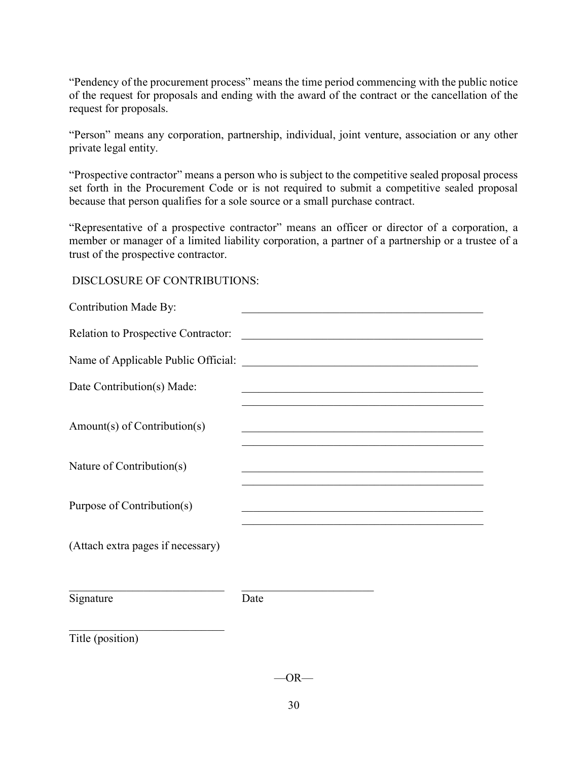"Pendency of the procurement process" means the time period commencing with the public notice of the request for proposals and ending with the award of the contract or the cancellation of the request for proposals.

"Person" means any corporation, partnership, individual, joint venture, association or any other private legal entity.

"Prospective contractor" means a person who is subject to the competitive sealed proposal process set forth in the Procurement Code or is not required to submit a competitive sealed proposal because that person qualifies for a sole source or a small purchase contract.

"Representative of a prospective contractor" means an officer or director of a corporation, a member or manager of a limited liability corporation, a partner of a partnership or a trustee of a trust of the prospective contractor.

### DISCLOSURE OF CONTRIBUTIONS:

| <b>Contribution Made By:</b>        |                                                                                           |  |
|-------------------------------------|-------------------------------------------------------------------------------------------|--|
| Relation to Prospective Contractor: |                                                                                           |  |
|                                     |                                                                                           |  |
| Date Contribution(s) Made:          | <u> 1989 - Johann Barbara, margaret eta idazlearia (h. 1989).</u>                         |  |
| Amount(s) of Contribution(s)        | <u> 1990 - Johann John Harry Barn, mars and de Brazilian (b. 1991)</u>                    |  |
| Nature of Contribution(s)           |                                                                                           |  |
| Purpose of Contribution(s)          | the control of the control of the control of the control of the control of the control of |  |
| (Attach extra pages if necessary)   |                                                                                           |  |
| Signature                           | Date                                                                                      |  |
| Title (position)                    |                                                                                           |  |

 $-OR-$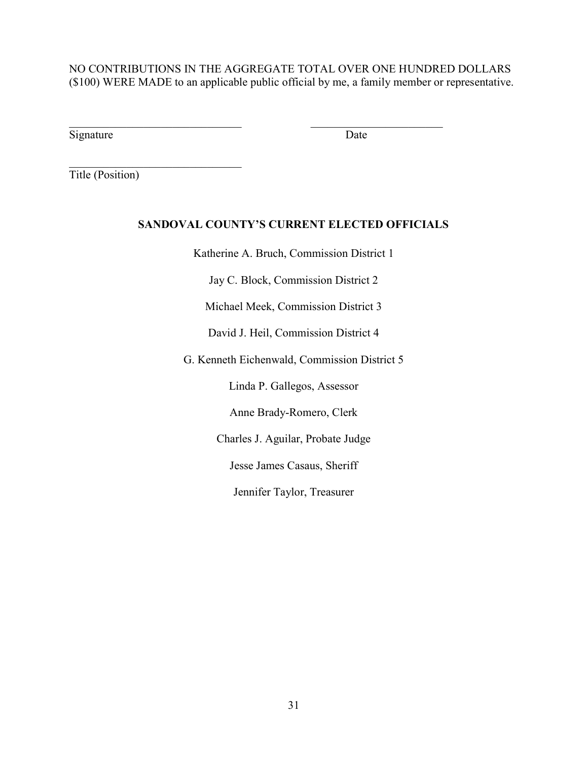NO CONTRIBUTIONS IN THE AGGREGATE TOTAL OVER ONE HUNDRED DOLLARS (\$100) WERE MADE to an applicable public official by me, a family member or representative.

 $\mathcal{L}_\text{max}$  , and the contribution of the contribution of  $\mathcal{L}_\text{max}$ 

Signature Date

Title (Position)

### SANDOVAL COUNTY'S CURRENT ELECTED OFFICIALS

Katherine A. Bruch, Commission District 1

Jay C. Block, Commission District 2

Michael Meek, Commission District 3

David J. Heil, Commission District 4

G. Kenneth Eichenwald, Commission District 5

Linda P. Gallegos, Assessor

Anne Brady-Romero, Clerk

Charles J. Aguilar, Probate Judge

Jesse James Casaus, Sheriff

Jennifer Taylor, Treasurer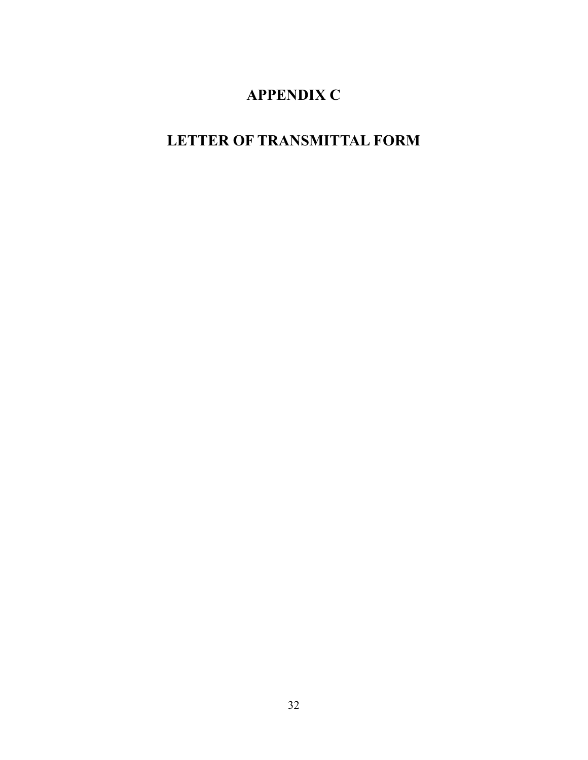# APPENDIX C

# LETTER OF TRANSMITTAL FORM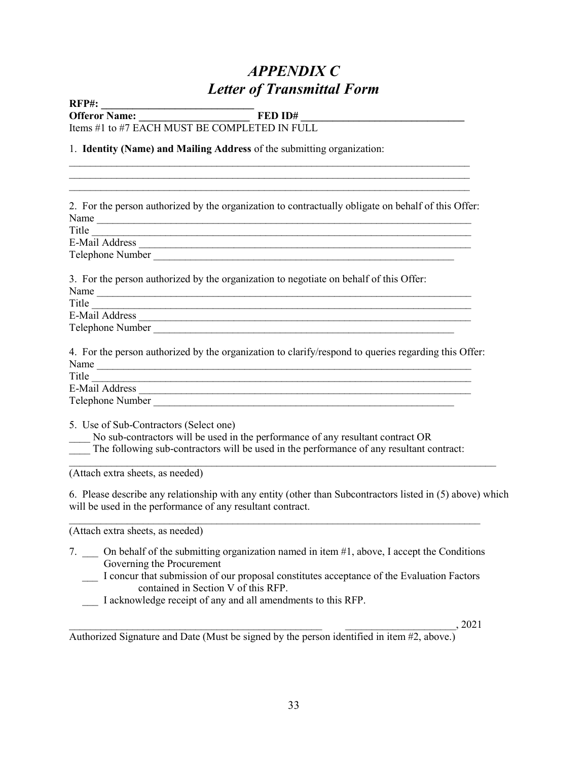# APPENDIX C Letter of Transmittal Form

 $\mathcal{L}_\text{max} = \mathcal{L}_\text{max} = \mathcal{L}_\text{max} = \mathcal{L}_\text{max} = \mathcal{L}_\text{max} = \mathcal{L}_\text{max} = \mathcal{L}_\text{max} = \mathcal{L}_\text{max} = \mathcal{L}_\text{max} = \mathcal{L}_\text{max} = \mathcal{L}_\text{max} = \mathcal{L}_\text{max} = \mathcal{L}_\text{max} = \mathcal{L}_\text{max} = \mathcal{L}_\text{max} = \mathcal{L}_\text{max} = \mathcal{L}_\text{max} = \mathcal{L}_\text{max} = \mathcal{$ 

RFP#: \_\_\_\_\_\_\_\_\_\_\_\_\_\_\_\_\_\_\_\_\_\_\_\_\_\_\_\_\_

Offeror Name: \_\_\_\_\_\_\_\_\_\_\_\_\_\_\_\_\_\_\_\_\_ FED ID# \_\_\_\_\_\_\_\_\_\_\_\_\_\_\_\_\_\_\_\_\_\_\_\_\_\_\_\_\_\_\_

 $\mathcal{L}_\mathcal{L} = \{ \mathcal{L}_\mathcal{L} = \{ \mathcal{L}_\mathcal{L} = \{ \mathcal{L}_\mathcal{L} = \{ \mathcal{L}_\mathcal{L} = \{ \mathcal{L}_\mathcal{L} = \{ \mathcal{L}_\mathcal{L} = \{ \mathcal{L}_\mathcal{L} = \{ \mathcal{L}_\mathcal{L} = \{ \mathcal{L}_\mathcal{L} = \{ \mathcal{L}_\mathcal{L} = \{ \mathcal{L}_\mathcal{L} = \{ \mathcal{L}_\mathcal{L} = \{ \mathcal{L}_\mathcal{L} = \{ \mathcal{L}_\mathcal{$ 

Items #1 to #7 EACH MUST BE COMPLETED IN FULL

1. Identity (Name) and Mailing Address of the submitting organization:

 $\mathcal{L}_\text{max}$  and  $\mathcal{L}_\text{max}$  and  $\mathcal{L}_\text{max}$  and  $\mathcal{L}_\text{max}$  and  $\mathcal{L}_\text{max}$  and  $\mathcal{L}_\text{max}$ 2. For the person authorized by the organization to contractually obligate on behalf of this Offer: Name Title  $\qquad \qquad \qquad \qquad$ E-Mail Address \_\_\_\_\_\_\_\_\_\_\_\_\_\_\_\_\_\_\_\_\_\_\_\_\_\_\_\_\_\_\_\_\_\_\_\_\_\_\_\_\_\_\_\_\_\_\_\_\_\_\_\_\_\_\_\_\_\_\_\_\_\_\_ Telephone Number \_\_\_\_\_\_\_\_\_\_\_\_\_\_\_\_\_\_\_\_\_\_\_\_\_\_\_\_\_\_\_\_\_\_\_\_\_\_\_\_\_\_\_\_\_\_\_\_\_\_\_\_\_\_\_\_\_ 3. For the person authorized by the organization to negotiate on behalf of this Offer: Name Title \_\_\_\_\_\_\_\_\_\_\_\_\_\_\_\_\_\_\_\_\_\_\_\_\_\_\_\_\_\_\_\_\_\_\_\_\_\_\_\_\_\_\_\_\_\_\_\_\_\_\_\_\_\_\_\_\_\_\_\_\_\_\_\_\_\_\_\_\_\_\_\_ E-Mail Address \_\_\_\_\_\_\_\_\_\_\_\_\_\_\_\_\_\_\_\_\_\_\_\_\_\_\_\_\_\_\_\_\_\_\_\_\_\_\_\_\_\_\_\_\_\_\_\_\_\_\_\_\_\_\_\_\_\_\_\_\_\_\_ Telephone Number **The United States 2008** 4. For the person authorized by the organization to clarify/respond to queries regarding this Offer: Name \_\_\_\_\_\_\_\_\_\_\_\_\_\_\_\_\_\_\_\_\_\_\_\_\_\_\_\_\_\_\_\_\_\_\_\_\_\_\_\_\_\_\_\_\_\_\_\_\_\_\_\_\_\_\_\_\_\_\_\_\_\_\_\_\_\_\_\_\_\_\_ Title  $\overline{\phantom{a}}$ E-Mail Address **E-Mail Address** Telephone Number  $\blacksquare$ 5. Use of Sub-Contractors (Select one) No sub-contractors will be used in the performance of any resultant contract OR The following sub-contractors will be used in the performance of any resultant contract:  $\mathcal{L}_\mathcal{L} = \{ \mathcal{L}_\mathcal{L} = \{ \mathcal{L}_\mathcal{L} = \{ \mathcal{L}_\mathcal{L} = \{ \mathcal{L}_\mathcal{L} = \{ \mathcal{L}_\mathcal{L} = \{ \mathcal{L}_\mathcal{L} = \{ \mathcal{L}_\mathcal{L} = \{ \mathcal{L}_\mathcal{L} = \{ \mathcal{L}_\mathcal{L} = \{ \mathcal{L}_\mathcal{L} = \{ \mathcal{L}_\mathcal{L} = \{ \mathcal{L}_\mathcal{L} = \{ \mathcal{L}_\mathcal{L} = \{ \mathcal{L}_\mathcal{$ (Attach extra sheets, as needed) 6. Please describe any relationship with any entity (other than Subcontractors listed in (5) above) which will be used in the performance of any resultant contract.  $\mathcal{L}_\mathcal{L} = \{ \mathcal{L}_\mathcal{L} = \{ \mathcal{L}_\mathcal{L} = \{ \mathcal{L}_\mathcal{L} = \{ \mathcal{L}_\mathcal{L} = \{ \mathcal{L}_\mathcal{L} = \{ \mathcal{L}_\mathcal{L} = \{ \mathcal{L}_\mathcal{L} = \{ \mathcal{L}_\mathcal{L} = \{ \mathcal{L}_\mathcal{L} = \{ \mathcal{L}_\mathcal{L} = \{ \mathcal{L}_\mathcal{L} = \{ \mathcal{L}_\mathcal{L} = \{ \mathcal{L}_\mathcal{L} = \{ \mathcal{L}_\mathcal{$ (Attach extra sheets, as needed) 7. \_\_\_ On behalf of the submitting organization named in item #1, above, I accept the Conditions

- Governing the Procurement
	- \_\_\_ I concur that submission of our proposal constitutes acceptance of the Evaluation Factors contained in Section V of this RFP.
	- \_\_\_ I acknowledge receipt of any and all amendments to this RFP.

 $, 2021$ 

Authorized Signature and Date (Must be signed by the person identified in item #2, above.)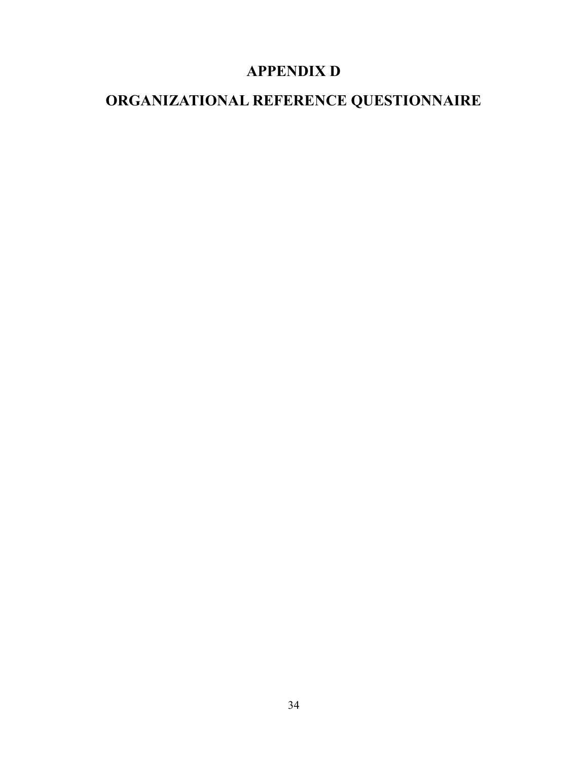# APPENDIX D

# ORGANIZATIONAL REFERENCE QUESTIONNAIRE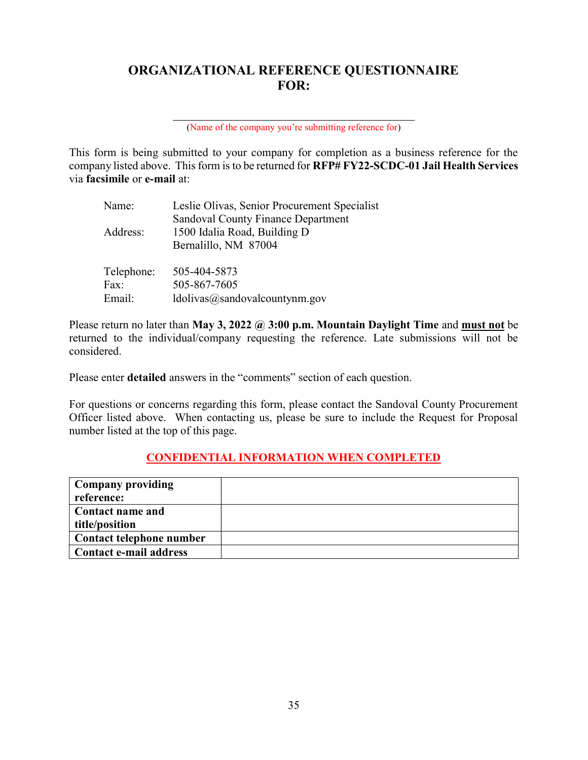### ORGANIZATIONAL REFERENCE QUESTIONNAIRE FOR:

(Name of the company you're submitting reference for)

This form is being submitted to your company for completion as a business reference for the company listed above. This form is to be returned for RFP# FY22-SCDC-01 Jail Health Services via facsimile or e-mail at:

| Name:      | Leslie Olivas, Senior Procurement Specialist |  |
|------------|----------------------------------------------|--|
|            | <b>Sandoval County Finance Department</b>    |  |
| Address:   | 1500 Idalia Road, Building D                 |  |
|            | Bernalillo, NM 87004                         |  |
|            |                                              |  |
| Telephone: | 505-404-5873                                 |  |
| Fax:       | 505-867-7605                                 |  |
| Email:     | ldolivas@sandovalcountynm.gov                |  |

l

Please return no later than May 3, 2022  $\omega$  3:00 p.m. Mountain Daylight Time and must not be returned to the individual/company requesting the reference. Late submissions will not be considered.

Please enter detailed answers in the "comments" section of each question.

For questions or concerns regarding this form, please contact the Sandoval County Procurement Officer listed above. When contacting us, please be sure to include the Request for Proposal number listed at the top of this page.

### CONFIDENTIAL INFORMATION WHEN COMPLETED

| Company providing        |  |
|--------------------------|--|
| reference:               |  |
| Contact name and         |  |
| title/position           |  |
| Contact telephone number |  |
| Contact e-mail address   |  |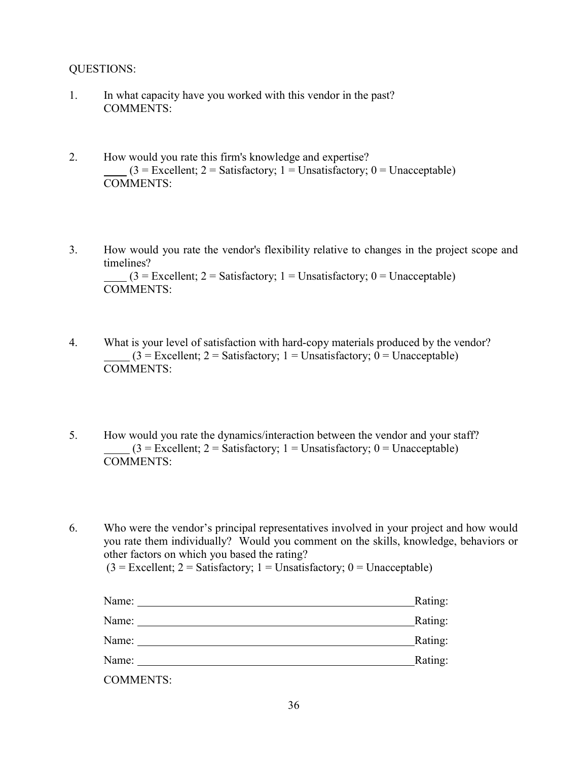### QUESTIONS:

- 1. In what capacity have you worked with this vendor in the past? COMMENTS:
- 2. How would you rate this firm's knowledge and expertise?  $(3 = Excellent; 2 = Satisfactory; 1 = Unsatisfactory; 0 = Unacceptable)$ COMMENTS:
- 3. How would you rate the vendor's flexibility relative to changes in the project scope and timelines?  $(3 = Exact$ ellent; 2 = Satisfactory; 1 = Unsatisfactory; 0 = Unacceptable) COMMENTS:
- 4. What is your level of satisfaction with hard-copy materials produced by the vendor?  $(3 =$  Excellent; 2 = Satisfactory; 1 = Unsatisfactory; 0 = Unacceptable) COMMENTS:
- 5. How would you rate the dynamics/interaction between the vendor and your staff?  $(3 = Excellent; 2 = Satisfactory; 1 = Unsatisfactory; 0 = Unacceptable)$ COMMENTS:

6. Who were the vendor's principal representatives involved in your project and how would you rate them individually? Would you comment on the skills, knowledge, behaviors or other factors on which you based the rating?  $(3 = Excellent; 2 = Satisfactory; 1 = Unsatisfactory; 0 = Unacceptable)$ 

| Name:            | Rating: |
|------------------|---------|
| Name:            | Rating: |
| Name:            | Rating: |
| Name:            | Rating: |
| <b>COMMENTS:</b> |         |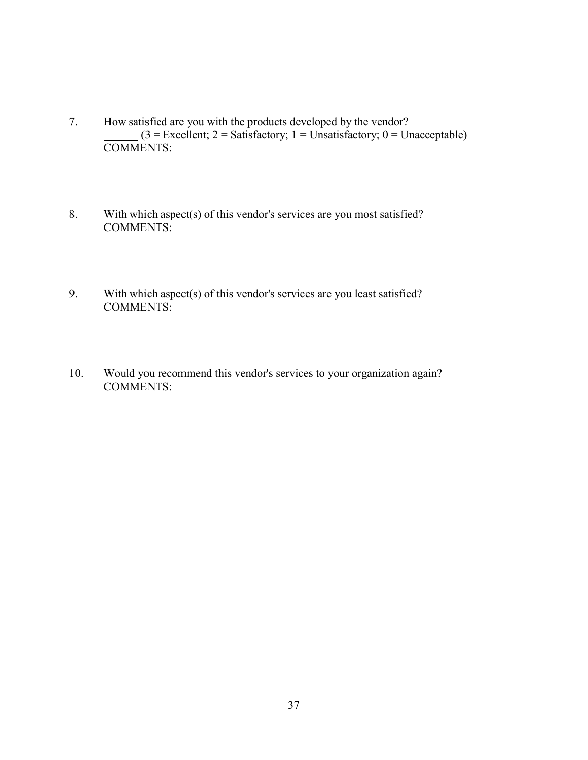- 7. How satisfied are you with the products developed by the vendor?  $(3 = \text{Excellent}; 2 = \text{Satisfactory}; 1 = \text{Unsatisfactory}; 0 = \text{Unacceptable})$  $\frac{13 \text{ F} \cdot \text{EX}}{COMMENTS:}$
- 8. With which aspect(s) of this vendor's services are you most satisfied? COMMENTS:
- 9. With which aspect(s) of this vendor's services are you least satisfied? COMMENTS:
- 10. Would you recommend this vendor's services to your organization again? COMMENTS: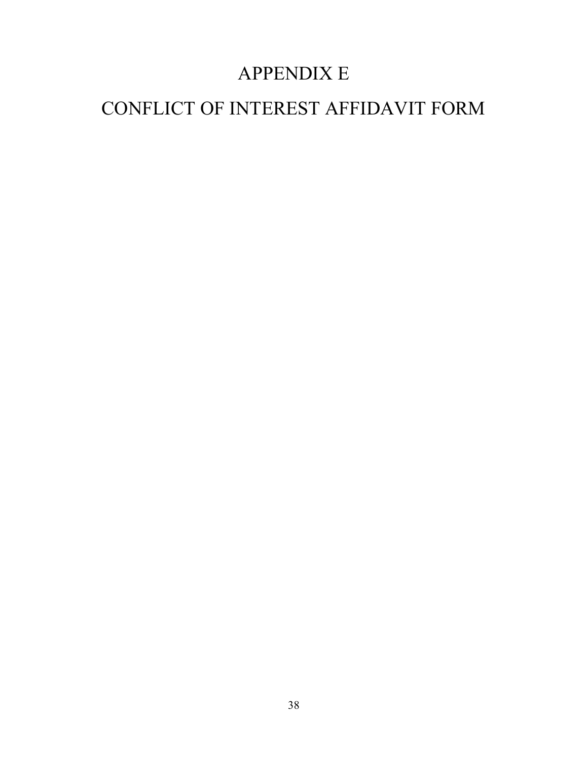# APPENDIX E

# CONFLICT OF INTEREST AFFIDAVIT FORM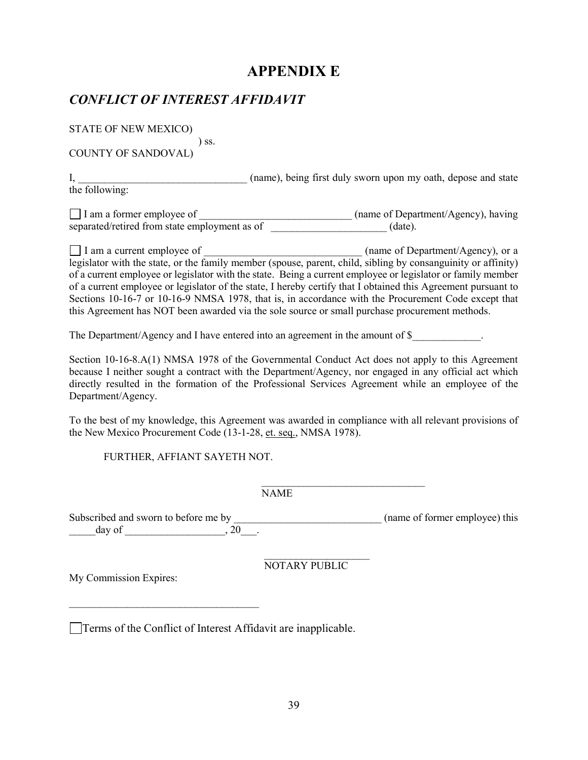## APPENDIX E

### CONFLICT OF INTEREST AFFIDAVIT

STATE OF NEW MEXICO)

 ) ss. COUNTY OF SANDOVAL)

I, came), being first duly sworn upon my oath, depose and state

the following:

I am a former employee of  $\Box$  (name of Department/Agency), having separated/retired from state employment as of  $(date).$ 

I am a current employee of  $\Box$  (name of Department/Agency), or a legislator with the state, or the family member (spouse, parent, child, sibling by consanguinity or affinity) of a current employee or legislator with the state. Being a current employee or legislator or family member of a current employee or legislator of the state, I hereby certify that I obtained this Agreement pursuant to Sections 10-16-7 or 10-16-9 NMSA 1978, that is, in accordance with the Procurement Code except that this Agreement has NOT been awarded via the sole source or small purchase procurement methods.

The Department/Agency and I have entered into an agreement in the amount of \$

Section 10-16-8.A(1) NMSA 1978 of the Governmental Conduct Act does not apply to this Agreement because I neither sought a contract with the Department/Agency, nor engaged in any official act which directly resulted in the formation of the Professional Services Agreement while an employee of the Department/Agency.

To the best of my knowledge, this Agreement was awarded in compliance with all relevant provisions of the New Mexico Procurement Code (13-1-28, et. seq., NMSA 1978).

FURTHER, AFFIANT SAYETH NOT.

 $\mathcal{L}_\text{max}$  and the contract of the contract of the contract of the contract of the contract of the contract of the contract of the contract of the contract of the contract of the contract of the contract of the contrac NAME

Subscribed and sworn to before me by  $(name of former employee) this$  $\frac{day}{f}$  of  $\frac{dy}{f}$ , 20

 $\mathcal{L}_\text{max}$  and  $\mathcal{L}_\text{max}$  and  $\mathcal{L}_\text{max}$  and  $\mathcal{L}_\text{max}$ NOTARY PUBLIC

My Commission Expires:

 $\mathcal{L}_\text{max}$ 

Terms of the Conflict of Interest Affidavit are inapplicable.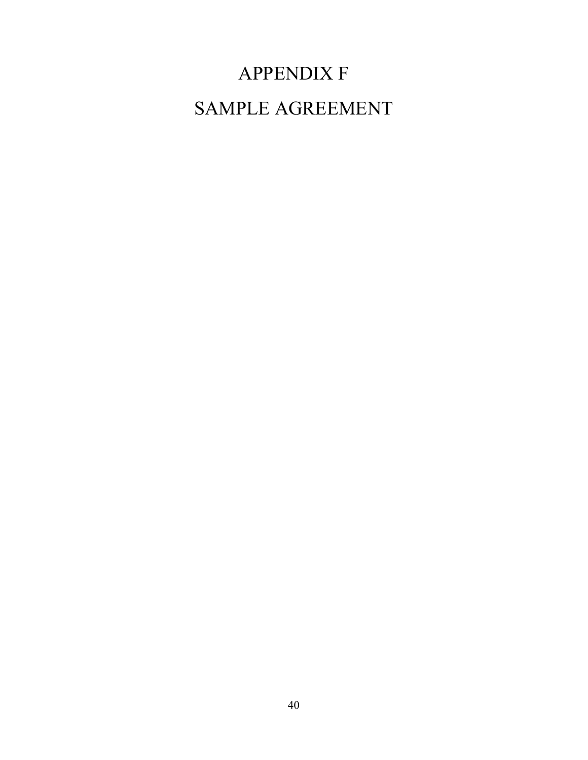# APPENDIX F SAMPLE AGREEMENT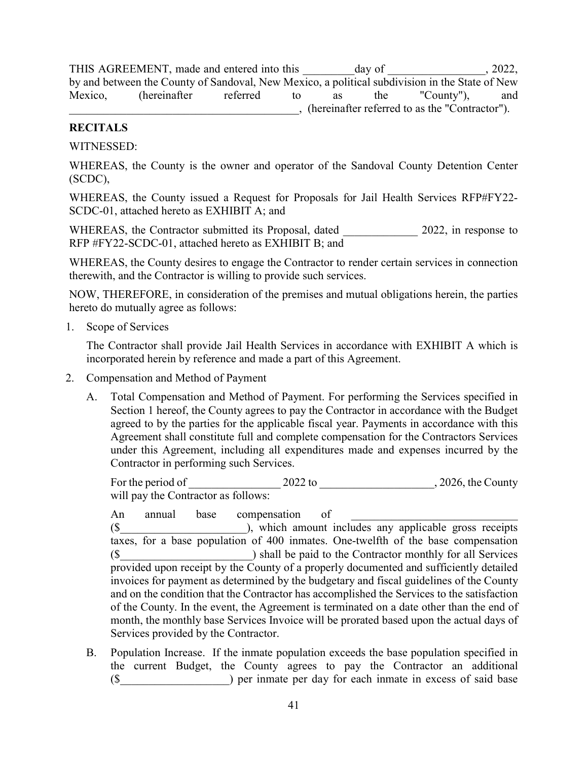THIS AGREEMENT, made and entered into this day of , 2022, by and between the County of Sandoval, New Mexico, a political subdivision in the State of New Mexico, (hereinafter referred to as the "County"), and \_\_\_\_\_\_\_\_\_\_\_\_\_\_\_\_\_\_\_\_\_\_\_\_\_\_\_\_\_\_\_\_\_\_\_\_\_\_\_\_, (hereinafter referred to as the "Contractor").

### RECITALS

WITNESSED:

WHEREAS, the County is the owner and operator of the Sandoval County Detention Center (SCDC),

WHEREAS, the County issued a Request for Proposals for Jail Health Services RFP#FY22- SCDC-01, attached hereto as EXHIBIT A; and

WHEREAS, the Contractor submitted its Proposal, dated 2022, in response to RFP #FY22-SCDC-01, attached hereto as EXHIBIT B; and

WHEREAS, the County desires to engage the Contractor to render certain services in connection therewith, and the Contractor is willing to provide such services.

NOW, THEREFORE, in consideration of the premises and mutual obligations herein, the parties hereto do mutually agree as follows:

1. Scope of Services

The Contractor shall provide Jail Health Services in accordance with EXHIBIT A which is incorporated herein by reference and made a part of this Agreement.

- 2. Compensation and Method of Payment
	- A. Total Compensation and Method of Payment. For performing the Services specified in Section 1 hereof, the County agrees to pay the Contractor in accordance with the Budget agreed to by the parties for the applicable fiscal year. Payments in accordance with this Agreement shall constitute full and complete compensation for the Contractors Services under this Agreement, including all expenditures made and expenses incurred by the Contractor in performing such Services.

 For the period of \_\_\_\_\_\_\_\_\_\_\_\_\_\_\_\_ 2022 to \_\_\_\_\_\_\_\_\_\_\_\_\_\_\_\_\_\_\_\_, 2026, the County will pay the Contractor as follows:

An annual base compensation of  $(\$$  ), which amount includes any applicable gross receipts taxes, for a base population of 400 inmates. One-twelfth of the base compensation (\$\_\_\_\_\_\_\_\_\_\_\_\_\_\_\_\_\_\_\_\_\_\_\_) shall be paid to the Contractor monthly for all Services provided upon receipt by the County of a properly documented and sufficiently detailed invoices for payment as determined by the budgetary and fiscal guidelines of the County and on the condition that the Contractor has accomplished the Services to the satisfaction of the County. In the event, the Agreement is terminated on a date other than the end of month, the monthly base Services Invoice will be prorated based upon the actual days of Services provided by the Contractor.

B. Population Increase. If the inmate population exceeds the base population specified in the current Budget, the County agrees to pay the Contractor an additional (\$) per inmate per day for each inmate in excess of said base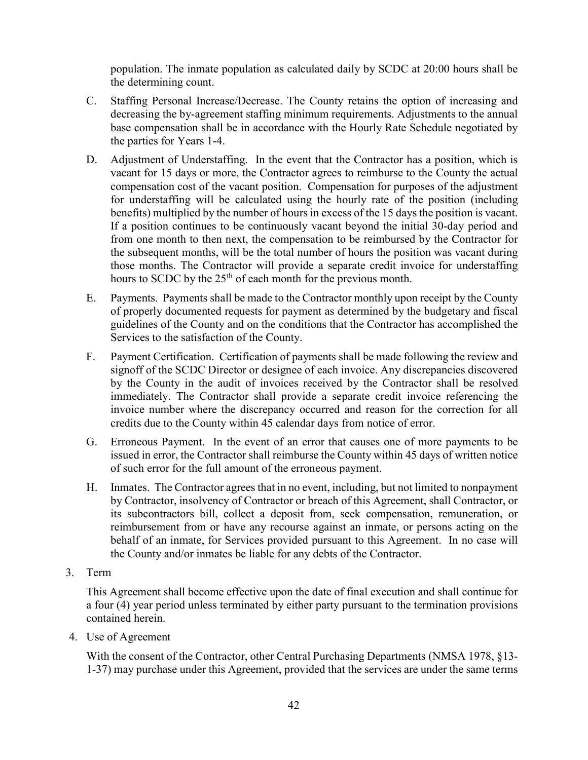population. The inmate population as calculated daily by SCDC at 20:00 hours shall be the determining count.

- C. Staffing Personal Increase/Decrease. The County retains the option of increasing and decreasing the by-agreement staffing minimum requirements. Adjustments to the annual base compensation shall be in accordance with the Hourly Rate Schedule negotiated by the parties for Years 1-4.
- D. Adjustment of Understaffing. In the event that the Contractor has a position, which is vacant for 15 days or more, the Contractor agrees to reimburse to the County the actual compensation cost of the vacant position. Compensation for purposes of the adjustment for understaffing will be calculated using the hourly rate of the position (including benefits) multiplied by the number of hours in excess of the 15 days the position is vacant. If a position continues to be continuously vacant beyond the initial 30-day period and from one month to then next, the compensation to be reimbursed by the Contractor for the subsequent months, will be the total number of hours the position was vacant during those months. The Contractor will provide a separate credit invoice for understaffing hours to SCDC by the 25<sup>th</sup> of each month for the previous month.
- E. Payments. Payments shall be made to the Contractor monthly upon receipt by the County of properly documented requests for payment as determined by the budgetary and fiscal guidelines of the County and on the conditions that the Contractor has accomplished the Services to the satisfaction of the County.
- F. Payment Certification. Certification of payments shall be made following the review and signoff of the SCDC Director or designee of each invoice. Any discrepancies discovered by the County in the audit of invoices received by the Contractor shall be resolved immediately. The Contractor shall provide a separate credit invoice referencing the invoice number where the discrepancy occurred and reason for the correction for all credits due to the County within 45 calendar days from notice of error.
- G. Erroneous Payment. In the event of an error that causes one of more payments to be issued in error, the Contractor shall reimburse the County within 45 days of written notice of such error for the full amount of the erroneous payment.
- H. Inmates. The Contractor agrees that in no event, including, but not limited to nonpayment by Contractor, insolvency of Contractor or breach of this Agreement, shall Contractor, or its subcontractors bill, collect a deposit from, seek compensation, remuneration, or reimbursement from or have any recourse against an inmate, or persons acting on the behalf of an inmate, for Services provided pursuant to this Agreement. In no case will the County and/or inmates be liable for any debts of the Contractor.
- 3. Term

This Agreement shall become effective upon the date of final execution and shall continue for a four (4) year period unless terminated by either party pursuant to the termination provisions contained herein.

4. Use of Agreement

With the consent of the Contractor, other Central Purchasing Departments (NMSA 1978, §13- 1-37) may purchase under this Agreement, provided that the services are under the same terms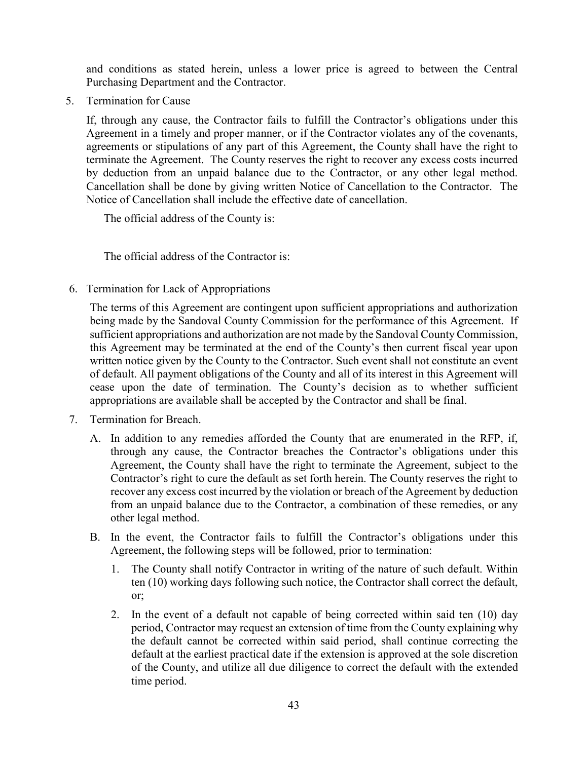and conditions as stated herein, unless a lower price is agreed to between the Central Purchasing Department and the Contractor.

5. Termination for Cause

If, through any cause, the Contractor fails to fulfill the Contractor's obligations under this Agreement in a timely and proper manner, or if the Contractor violates any of the covenants, agreements or stipulations of any part of this Agreement, the County shall have the right to terminate the Agreement. The County reserves the right to recover any excess costs incurred by deduction from an unpaid balance due to the Contractor, or any other legal method. Cancellation shall be done by giving written Notice of Cancellation to the Contractor. The Notice of Cancellation shall include the effective date of cancellation.

The official address of the County is:

The official address of the Contractor is:

6. Termination for Lack of Appropriations

The terms of this Agreement are contingent upon sufficient appropriations and authorization being made by the Sandoval County Commission for the performance of this Agreement. If sufficient appropriations and authorization are not made by the Sandoval County Commission, this Agreement may be terminated at the end of the County's then current fiscal year upon written notice given by the County to the Contractor. Such event shall not constitute an event of default. All payment obligations of the County and all of its interest in this Agreement will cease upon the date of termination. The County's decision as to whether sufficient appropriations are available shall be accepted by the Contractor and shall be final.

- 7. Termination for Breach.
	- A. In addition to any remedies afforded the County that are enumerated in the RFP, if, through any cause, the Contractor breaches the Contractor's obligations under this Agreement, the County shall have the right to terminate the Agreement, subject to the Contractor's right to cure the default as set forth herein. The County reserves the right to recover any excess cost incurred by the violation or breach of the Agreement by deduction from an unpaid balance due to the Contractor, a combination of these remedies, or any other legal method.
	- B. In the event, the Contractor fails to fulfill the Contractor's obligations under this Agreement, the following steps will be followed, prior to termination:
		- 1. The County shall notify Contractor in writing of the nature of such default. Within ten (10) working days following such notice, the Contractor shall correct the default, or;
		- 2. In the event of a default not capable of being corrected within said ten (10) day period, Contractor may request an extension of time from the County explaining why the default cannot be corrected within said period, shall continue correcting the default at the earliest practical date if the extension is approved at the sole discretion of the County, and utilize all due diligence to correct the default with the extended time period.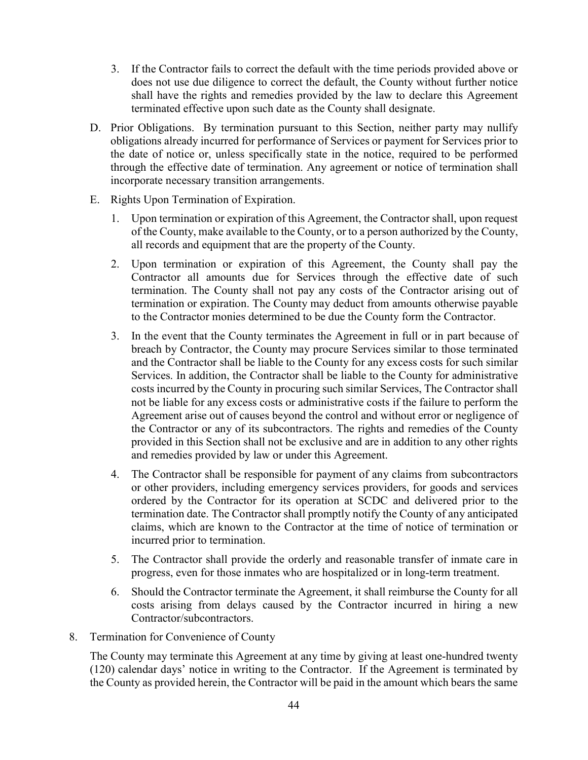- 3. If the Contractor fails to correct the default with the time periods provided above or does not use due diligence to correct the default, the County without further notice shall have the rights and remedies provided by the law to declare this Agreement terminated effective upon such date as the County shall designate.
- D. Prior Obligations. By termination pursuant to this Section, neither party may nullify obligations already incurred for performance of Services or payment for Services prior to the date of notice or, unless specifically state in the notice, required to be performed through the effective date of termination. Any agreement or notice of termination shall incorporate necessary transition arrangements.
- E. Rights Upon Termination of Expiration.
	- 1. Upon termination or expiration of this Agreement, the Contractor shall, upon request of the County, make available to the County, or to a person authorized by the County, all records and equipment that are the property of the County.
	- 2. Upon termination or expiration of this Agreement, the County shall pay the Contractor all amounts due for Services through the effective date of such termination. The County shall not pay any costs of the Contractor arising out of termination or expiration. The County may deduct from amounts otherwise payable to the Contractor monies determined to be due the County form the Contractor.
	- 3. In the event that the County terminates the Agreement in full or in part because of breach by Contractor, the County may procure Services similar to those terminated and the Contractor shall be liable to the County for any excess costs for such similar Services. In addition, the Contractor shall be liable to the County for administrative costs incurred by the County in procuring such similar Services, The Contractor shall not be liable for any excess costs or administrative costs if the failure to perform the Agreement arise out of causes beyond the control and without error or negligence of the Contractor or any of its subcontractors. The rights and remedies of the County provided in this Section shall not be exclusive and are in addition to any other rights and remedies provided by law or under this Agreement.
	- 4. The Contractor shall be responsible for payment of any claims from subcontractors or other providers, including emergency services providers, for goods and services ordered by the Contractor for its operation at SCDC and delivered prior to the termination date. The Contractor shall promptly notify the County of any anticipated claims, which are known to the Contractor at the time of notice of termination or incurred prior to termination.
	- 5. The Contractor shall provide the orderly and reasonable transfer of inmate care in progress, even for those inmates who are hospitalized or in long-term treatment.
	- 6. Should the Contractor terminate the Agreement, it shall reimburse the County for all costs arising from delays caused by the Contractor incurred in hiring a new Contractor/subcontractors.
- 8. Termination for Convenience of County

The County may terminate this Agreement at any time by giving at least one-hundred twenty (120) calendar days' notice in writing to the Contractor. If the Agreement is terminated by the County as provided herein, the Contractor will be paid in the amount which bears the same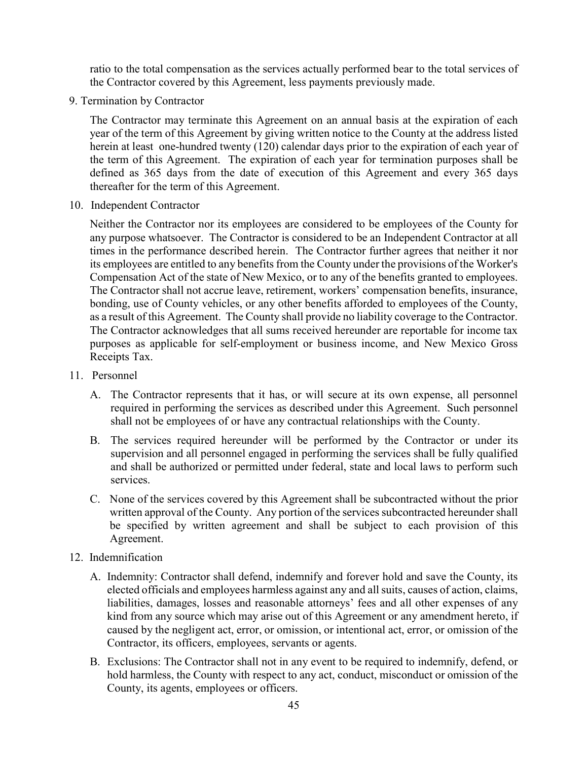ratio to the total compensation as the services actually performed bear to the total services of the Contractor covered by this Agreement, less payments previously made.

9. Termination by Contractor

The Contractor may terminate this Agreement on an annual basis at the expiration of each year of the term of this Agreement by giving written notice to the County at the address listed herein at least one-hundred twenty (120) calendar days prior to the expiration of each year of the term of this Agreement. The expiration of each year for termination purposes shall be defined as 365 days from the date of execution of this Agreement and every 365 days thereafter for the term of this Agreement.

10. Independent Contractor

Neither the Contractor nor its employees are considered to be employees of the County for any purpose whatsoever. The Contractor is considered to be an Independent Contractor at all times in the performance described herein. The Contractor further agrees that neither it nor its employees are entitled to any benefits from the County under the provisions of the Worker's Compensation Act of the state of New Mexico, or to any of the benefits granted to employees. The Contractor shall not accrue leave, retirement, workers' compensation benefits, insurance, bonding, use of County vehicles, or any other benefits afforded to employees of the County, as a result of this Agreement. The County shall provide no liability coverage to the Contractor. The Contractor acknowledges that all sums received hereunder are reportable for income tax purposes as applicable for self-employment or business income, and New Mexico Gross Receipts Tax.

- 11. Personnel
	- A. The Contractor represents that it has, or will secure at its own expense, all personnel required in performing the services as described under this Agreement. Such personnel shall not be employees of or have any contractual relationships with the County.
	- B. The services required hereunder will be performed by the Contractor or under its supervision and all personnel engaged in performing the services shall be fully qualified and shall be authorized or permitted under federal, state and local laws to perform such services.
	- C. None of the services covered by this Agreement shall be subcontracted without the prior written approval of the County. Any portion of the services subcontracted hereunder shall be specified by written agreement and shall be subject to each provision of this Agreement.
- 12. Indemnification
	- A. Indemnity: Contractor shall defend, indemnify and forever hold and save the County, its elected officials and employees harmless against any and all suits, causes of action, claims, liabilities, damages, losses and reasonable attorneys' fees and all other expenses of any kind from any source which may arise out of this Agreement or any amendment hereto, if caused by the negligent act, error, or omission, or intentional act, error, or omission of the Contractor, its officers, employees, servants or agents.
	- B. Exclusions: The Contractor shall not in any event to be required to indemnify, defend, or hold harmless, the County with respect to any act, conduct, misconduct or omission of the County, its agents, employees or officers.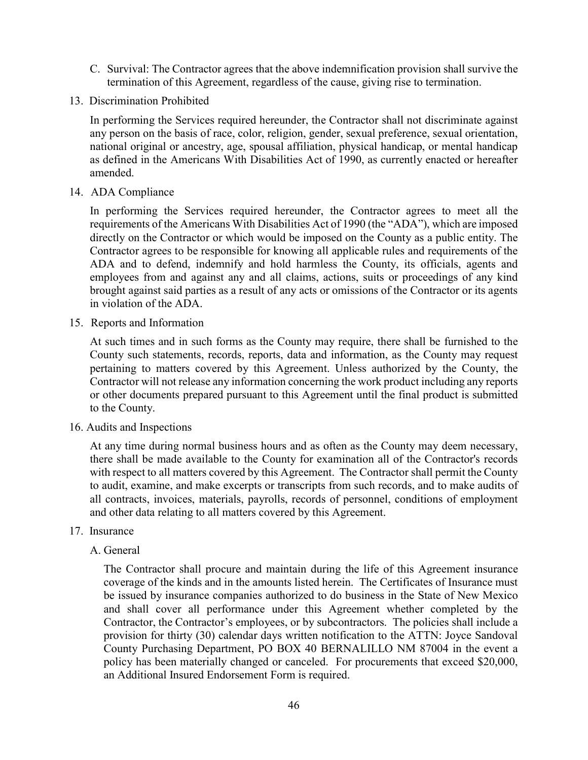- C. Survival: The Contractor agrees that the above indemnification provision shall survive the termination of this Agreement, regardless of the cause, giving rise to termination.
- 13. Discrimination Prohibited

In performing the Services required hereunder, the Contractor shall not discriminate against any person on the basis of race, color, religion, gender, sexual preference, sexual orientation, national original or ancestry, age, spousal affiliation, physical handicap, or mental handicap as defined in the Americans With Disabilities Act of 1990, as currently enacted or hereafter amended.

14. ADA Compliance

In performing the Services required hereunder, the Contractor agrees to meet all the requirements of the Americans With Disabilities Act of 1990 (the "ADA"), which are imposed directly on the Contractor or which would be imposed on the County as a public entity. The Contractor agrees to be responsible for knowing all applicable rules and requirements of the ADA and to defend, indemnify and hold harmless the County, its officials, agents and employees from and against any and all claims, actions, suits or proceedings of any kind brought against said parties as a result of any acts or omissions of the Contractor or its agents in violation of the ADA.

15. Reports and Information

At such times and in such forms as the County may require, there shall be furnished to the County such statements, records, reports, data and information, as the County may request pertaining to matters covered by this Agreement. Unless authorized by the County, the Contractor will not release any information concerning the work product including any reports or other documents prepared pursuant to this Agreement until the final product is submitted to the County.

16. Audits and Inspections

At any time during normal business hours and as often as the County may deem necessary, there shall be made available to the County for examination all of the Contractor's records with respect to all matters covered by this Agreement. The Contractor shall permit the County to audit, examine, and make excerpts or transcripts from such records, and to make audits of all contracts, invoices, materials, payrolls, records of personnel, conditions of employment and other data relating to all matters covered by this Agreement.

- 17. Insurance
	- A. General

The Contractor shall procure and maintain during the life of this Agreement insurance coverage of the kinds and in the amounts listed herein. The Certificates of Insurance must be issued by insurance companies authorized to do business in the State of New Mexico and shall cover all performance under this Agreement whether completed by the Contractor, the Contractor's employees, or by subcontractors. The policies shall include a provision for thirty (30) calendar days written notification to the ATTN: Joyce Sandoval County Purchasing Department, PO BOX 40 BERNALILLO NM 87004 in the event a policy has been materially changed or canceled. For procurements that exceed \$20,000, an Additional Insured Endorsement Form is required.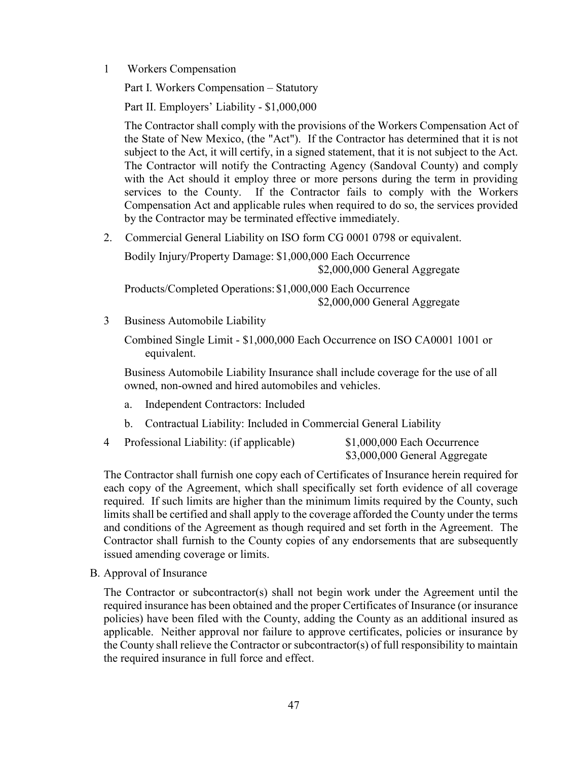1 Workers Compensation

Part I. Workers Compensation – Statutory

Part II. Employers' Liability - \$1,000,000

The Contractor shall comply with the provisions of the Workers Compensation Act of the State of New Mexico, (the "Act"). If the Contractor has determined that it is not subject to the Act, it will certify, in a signed statement, that it is not subject to the Act. The Contractor will notify the Contracting Agency (Sandoval County) and comply with the Act should it employ three or more persons during the term in providing services to the County. If the Contractor fails to comply with the Workers Compensation Act and applicable rules when required to do so, the services provided by the Contractor may be terminated effective immediately.

2. Commercial General Liability on ISO form CG 0001 0798 or equivalent.

Bodily Injury/Property Damage: \$1,000,000 Each Occurrence \$2,000,000 General Aggregate Products/Completed Operations: \$1,000,000 Each Occurrence

\$2,000,000 General Aggregate

3 Business Automobile Liability

Combined Single Limit - \$1,000,000 Each Occurrence on ISO CA0001 1001 or equivalent.

Business Automobile Liability Insurance shall include coverage for the use of all owned, non-owned and hired automobiles and vehicles.

- a. Independent Contractors: Included
- b. Contractual Liability: Included in Commercial General Liability
- 4 Professional Liability: (if applicable) \$1,000,000 Each Occurrence \$3,000,000 General Aggregate

The Contractor shall furnish one copy each of Certificates of Insurance herein required for each copy of the Agreement, which shall specifically set forth evidence of all coverage required. If such limits are higher than the minimum limits required by the County, such limits shall be certified and shall apply to the coverage afforded the County under the terms and conditions of the Agreement as though required and set forth in the Agreement. The Contractor shall furnish to the County copies of any endorsements that are subsequently issued amending coverage or limits.

B. Approval of Insurance

The Contractor or subcontractor(s) shall not begin work under the Agreement until the required insurance has been obtained and the proper Certificates of Insurance (or insurance policies) have been filed with the County, adding the County as an additional insured as applicable. Neither approval nor failure to approve certificates, policies or insurance by the County shall relieve the Contractor or subcontractor(s) of full responsibility to maintain the required insurance in full force and effect.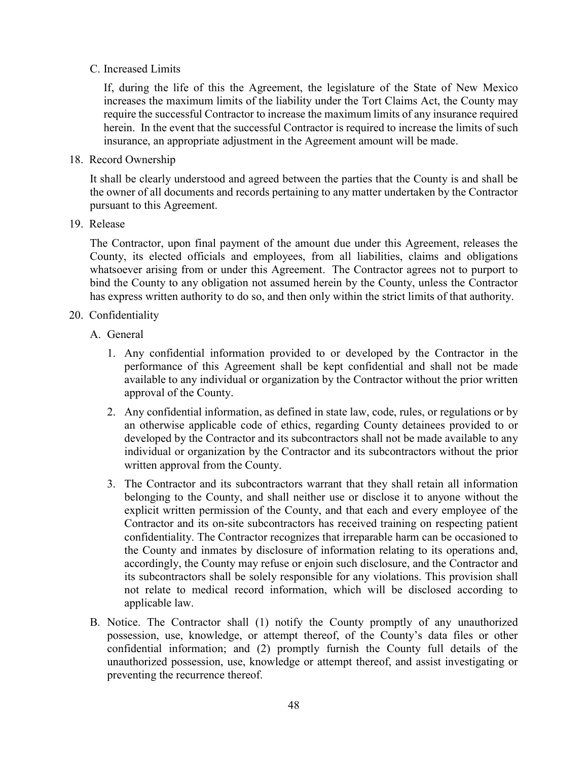#### C. Increased Limits

If, during the life of this the Agreement, the legislature of the State of New Mexico increases the maximum limits of the liability under the Tort Claims Act, the County may require the successful Contractor to increase the maximum limits of any insurance required herein. In the event that the successful Contractor is required to increase the limits of such insurance, an appropriate adjustment in the Agreement amount will be made.

18. Record Ownership

It shall be clearly understood and agreed between the parties that the County is and shall be the owner of all documents and records pertaining to any matter undertaken by the Contractor pursuant to this Agreement.

19. Release

The Contractor, upon final payment of the amount due under this Agreement, releases the County, its elected officials and employees, from all liabilities, claims and obligations whatsoever arising from or under this Agreement. The Contractor agrees not to purport to bind the County to any obligation not assumed herein by the County, unless the Contractor has express written authority to do so, and then only within the strict limits of that authority.

- 20. Confidentiality
	- A. General
		- 1. Any confidential information provided to or developed by the Contractor in the performance of this Agreement shall be kept confidential and shall not be made available to any individual or organization by the Contractor without the prior written approval of the County.
		- 2. Any confidential information, as defined in state law, code, rules, or regulations or by an otherwise applicable code of ethics, regarding County detainees provided to or developed by the Contractor and its subcontractors shall not be made available to any individual or organization by the Contractor and its subcontractors without the prior written approval from the County.
		- 3. The Contractor and its subcontractors warrant that they shall retain all information belonging to the County, and shall neither use or disclose it to anyone without the explicit written permission of the County, and that each and every employee of the Contractor and its on-site subcontractors has received training on respecting patient confidentiality. The Contractor recognizes that irreparable harm can be occasioned to the County and inmates by disclosure of information relating to its operations and, accordingly, the County may refuse or enjoin such disclosure, and the Contractor and its subcontractors shall be solely responsible for any violations. This provision shall not relate to medical record information, which will be disclosed according to applicable law.
	- B. Notice. The Contractor shall (1) notify the County promptly of any unauthorized possession, use, knowledge, or attempt thereof, of the County's data files or other confidential information; and (2) promptly furnish the County full details of the unauthorized possession, use, knowledge or attempt thereof, and assist investigating or preventing the recurrence thereof.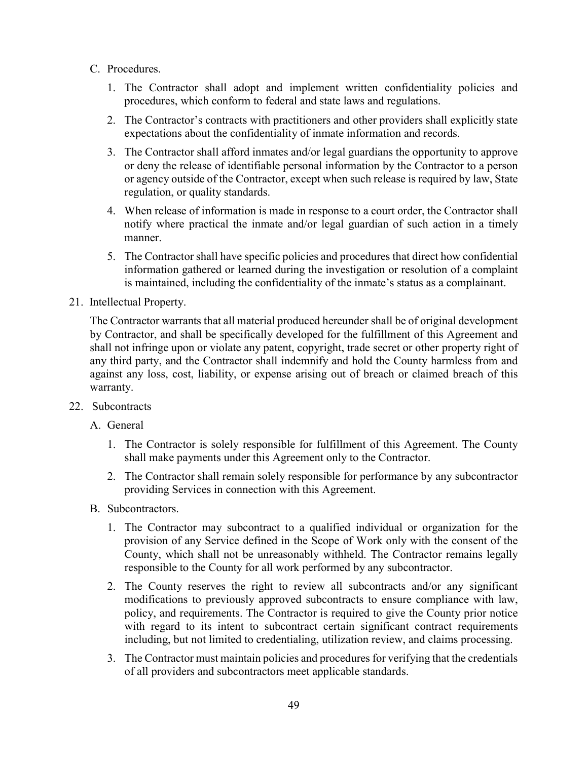- C. Procedures.
	- 1. The Contractor shall adopt and implement written confidentiality policies and procedures, which conform to federal and state laws and regulations.
	- 2. The Contractor's contracts with practitioners and other providers shall explicitly state expectations about the confidentiality of inmate information and records.
	- 3. The Contractor shall afford inmates and/or legal guardians the opportunity to approve or deny the release of identifiable personal information by the Contractor to a person or agency outside of the Contractor, except when such release is required by law, State regulation, or quality standards.
	- 4. When release of information is made in response to a court order, the Contractor shall notify where practical the inmate and/or legal guardian of such action in a timely manner.
	- 5. The Contractor shall have specific policies and procedures that direct how confidential information gathered or learned during the investigation or resolution of a complaint is maintained, including the confidentiality of the inmate's status as a complainant.
- 21. Intellectual Property.

The Contractor warrants that all material produced hereunder shall be of original development by Contractor, and shall be specifically developed for the fulfillment of this Agreement and shall not infringe upon or violate any patent, copyright, trade secret or other property right of any third party, and the Contractor shall indemnify and hold the County harmless from and against any loss, cost, liability, or expense arising out of breach or claimed breach of this warranty.

- 22. Subcontracts
	- A. General
		- 1. The Contractor is solely responsible for fulfillment of this Agreement. The County shall make payments under this Agreement only to the Contractor.
		- 2. The Contractor shall remain solely responsible for performance by any subcontractor providing Services in connection with this Agreement.
	- B. Subcontractors.
		- 1. The Contractor may subcontract to a qualified individual or organization for the provision of any Service defined in the Scope of Work only with the consent of the County, which shall not be unreasonably withheld. The Contractor remains legally responsible to the County for all work performed by any subcontractor.
		- 2. The County reserves the right to review all subcontracts and/or any significant modifications to previously approved subcontracts to ensure compliance with law, policy, and requirements. The Contractor is required to give the County prior notice with regard to its intent to subcontract certain significant contract requirements including, but not limited to credentialing, utilization review, and claims processing.
		- 3. The Contractor must maintain policies and procedures for verifying that the credentials of all providers and subcontractors meet applicable standards.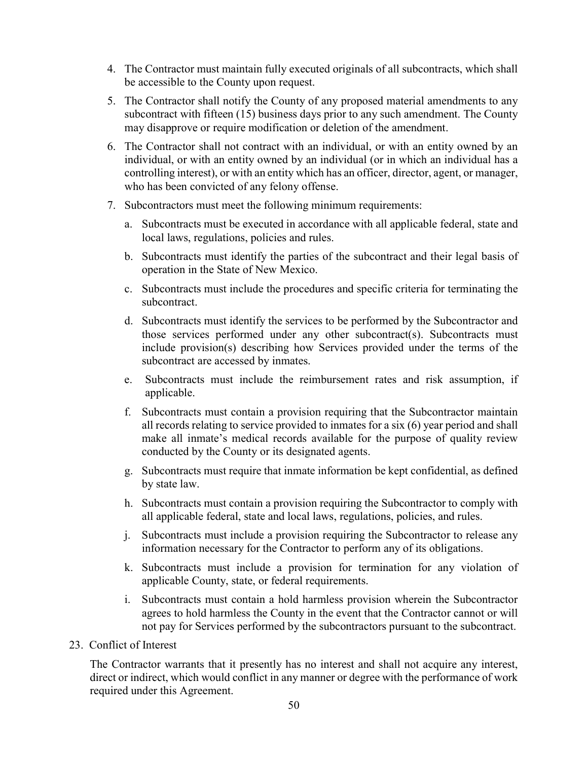- 4. The Contractor must maintain fully executed originals of all subcontracts, which shall be accessible to the County upon request.
- 5. The Contractor shall notify the County of any proposed material amendments to any subcontract with fifteen (15) business days prior to any such amendment. The County may disapprove or require modification or deletion of the amendment.
- 6. The Contractor shall not contract with an individual, or with an entity owned by an individual, or with an entity owned by an individual (or in which an individual has a controlling interest), or with an entity which has an officer, director, agent, or manager, who has been convicted of any felony offense.
- 7. Subcontractors must meet the following minimum requirements:
	- a. Subcontracts must be executed in accordance with all applicable federal, state and local laws, regulations, policies and rules.
	- b. Subcontracts must identify the parties of the subcontract and their legal basis of operation in the State of New Mexico.
	- c. Subcontracts must include the procedures and specific criteria for terminating the subcontract.
	- d. Subcontracts must identify the services to be performed by the Subcontractor and those services performed under any other subcontract(s). Subcontracts must include provision(s) describing how Services provided under the terms of the subcontract are accessed by inmates.
	- e. Subcontracts must include the reimbursement rates and risk assumption, if applicable.
	- f. Subcontracts must contain a provision requiring that the Subcontractor maintain all records relating to service provided to inmates for a six (6) year period and shall make all inmate's medical records available for the purpose of quality review conducted by the County or its designated agents.
	- g. Subcontracts must require that inmate information be kept confidential, as defined by state law.
	- h. Subcontracts must contain a provision requiring the Subcontractor to comply with all applicable federal, state and local laws, regulations, policies, and rules.
	- j. Subcontracts must include a provision requiring the Subcontractor to release any information necessary for the Contractor to perform any of its obligations.
	- k. Subcontracts must include a provision for termination for any violation of applicable County, state, or federal requirements.
	- i. Subcontracts must contain a hold harmless provision wherein the Subcontractor agrees to hold harmless the County in the event that the Contractor cannot or will not pay for Services performed by the subcontractors pursuant to the subcontract.
- 23. Conflict of Interest

The Contractor warrants that it presently has no interest and shall not acquire any interest, direct or indirect, which would conflict in any manner or degree with the performance of work required under this Agreement.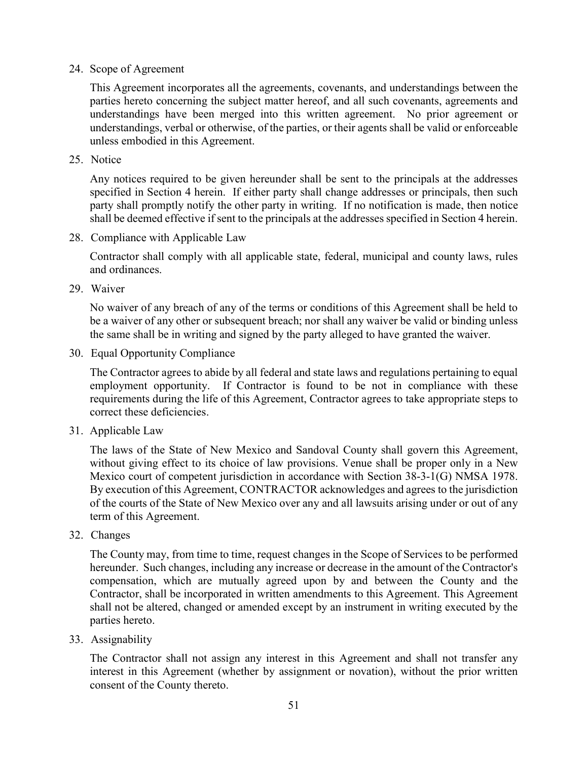24. Scope of Agreement

This Agreement incorporates all the agreements, covenants, and understandings between the parties hereto concerning the subject matter hereof, and all such covenants, agreements and understandings have been merged into this written agreement. No prior agreement or understandings, verbal or otherwise, of the parties, or their agents shall be valid or enforceable unless embodied in this Agreement.

25. Notice

Any notices required to be given hereunder shall be sent to the principals at the addresses specified in Section 4 herein. If either party shall change addresses or principals, then such party shall promptly notify the other party in writing. If no notification is made, then notice shall be deemed effective if sent to the principals at the addresses specified in Section 4 herein.

28. Compliance with Applicable Law

Contractor shall comply with all applicable state, federal, municipal and county laws, rules and ordinances.

29. Waiver

No waiver of any breach of any of the terms or conditions of this Agreement shall be held to be a waiver of any other or subsequent breach; nor shall any waiver be valid or binding unless the same shall be in writing and signed by the party alleged to have granted the waiver.

30. Equal Opportunity Compliance

The Contractor agrees to abide by all federal and state laws and regulations pertaining to equal employment opportunity. If Contractor is found to be not in compliance with these requirements during the life of this Agreement, Contractor agrees to take appropriate steps to correct these deficiencies.

31. Applicable Law

The laws of the State of New Mexico and Sandoval County shall govern this Agreement, without giving effect to its choice of law provisions. Venue shall be proper only in a New Mexico court of competent jurisdiction in accordance with Section 38-3-1(G) NMSA 1978. By execution of this Agreement, CONTRACTOR acknowledges and agrees to the jurisdiction of the courts of the State of New Mexico over any and all lawsuits arising under or out of any term of this Agreement.

32. Changes

The County may, from time to time, request changes in the Scope of Services to be performed hereunder. Such changes, including any increase or decrease in the amount of the Contractor's compensation, which are mutually agreed upon by and between the County and the Contractor, shall be incorporated in written amendments to this Agreement. This Agreement shall not be altered, changed or amended except by an instrument in writing executed by the parties hereto.

33. Assignability

The Contractor shall not assign any interest in this Agreement and shall not transfer any interest in this Agreement (whether by assignment or novation), without the prior written consent of the County thereto.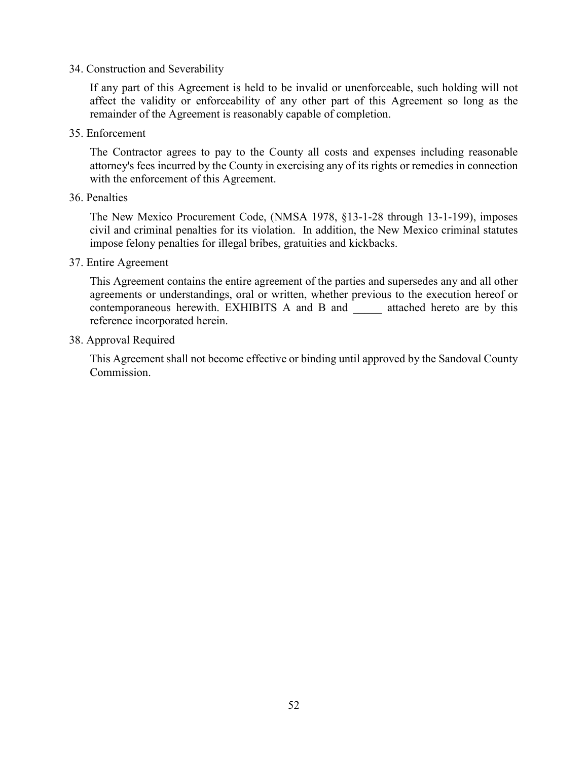#### 34. Construction and Severability

If any part of this Agreement is held to be invalid or unenforceable, such holding will not affect the validity or enforceability of any other part of this Agreement so long as the remainder of the Agreement is reasonably capable of completion.

35. Enforcement

The Contractor agrees to pay to the County all costs and expenses including reasonable attorney's fees incurred by the County in exercising any of its rights or remedies in connection with the enforcement of this Agreement.

#### 36. Penalties

The New Mexico Procurement Code, (NMSA 1978, §13-1-28 through 13-1-199), imposes civil and criminal penalties for its violation. In addition, the New Mexico criminal statutes impose felony penalties for illegal bribes, gratuities and kickbacks.

#### 37. Entire Agreement

This Agreement contains the entire agreement of the parties and supersedes any and all other agreements or understandings, oral or written, whether previous to the execution hereof or contemporaneous herewith. EXHIBITS A and B and \_\_\_\_\_ attached hereto are by this reference incorporated herein.

#### 38. Approval Required

This Agreement shall not become effective or binding until approved by the Sandoval County Commission.